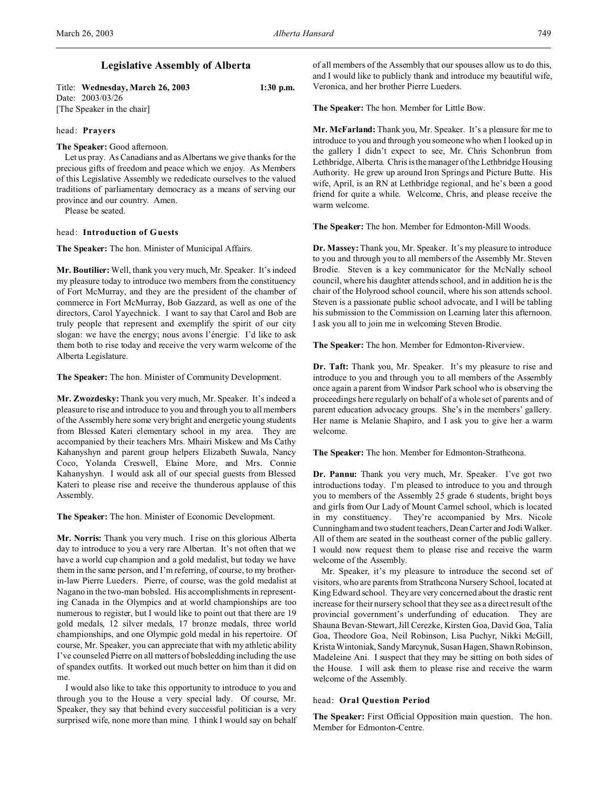# **Legislative Assembly of Alberta**

| Title: Wednesday, March 26, 2003 | $1:30$ p.m. |
|----------------------------------|-------------|
| Date: 2003/03/26                 |             |
| [The Speaker in the chair]       |             |

### head: **Prayers**

**The Speaker:** Good afternoon.

Let us pray. As Canadians and as Albertans we give thanks for the precious gifts of freedom and peace which we enjoy. As Members of this Legislative Assembly we rededicate ourselves to the valued traditions of parliamentary democracy as a means of serving our province and our country. Amen.

Please be seated.

## head: **Introduction of Guests**

**The Speaker:** The hon. Minister of Municipal Affairs.

**Mr. Boutilier:** Well, thank you very much, Mr. Speaker. It's indeed my pleasure today to introduce two members from the constituency of Fort McMurray, and they are the president of the chamber of commerce in Fort McMurray, Bob Gazzard, as well as one of the directors, Carol Yayechnick. I want to say that Carol and Bob are truly people that represent and exemplify the spirit of our city slogan: we have the energy; nous avons l'énergie. I'd like to ask them both to rise today and receive the very warm welcome of the Alberta Legislature.

**The Speaker:** The hon. Minister of Community Development.

**Mr. Zwozdesky:** Thank you very much, Mr. Speaker. It's indeed a pleasure to rise and introduce to you and through you to all members of the Assembly here some very bright and energetic young students from Blessed Kateri elementary school in my area. They are accompanied by their teachers Mrs. Mhairi Miskew and Ms Cathy Kahanyshyn and parent group helpers Elizabeth Suwala, Nancy Coco, Yolanda Creswell, Elaine More, and Mrs. Connie Kahanyshyn. I would ask all of our special guests from Blessed Kateri to please rise and receive the thunderous applause of this Assembly.

**The Speaker:** The hon. Minister of Economic Development.

**Mr. Norris:** Thank you very much. I rise on this glorious Alberta day to introduce to you a very rare Albertan. It's not often that we have a world cup champion and a gold medalist, but today we have them in the same person, and I'm referring, of course, to my brotherin-law Pierre Lueders. Pierre, of course, was the gold medalist at Nagano in the two-man bobsled. His accomplishments in representing Canada in the Olympics and at world championships are too numerous to register, but I would like to point out that there are 19 gold medals, 12 silver medals, 17 bronze medals, three world championships, and one Olympic gold medal in his repertoire. Of course, Mr. Speaker, you can appreciate that with my athletic ability I've counseled Pierre on all matters of bobsledding including the use of spandex outfits. It worked out much better on him than it did on me.

I would also like to take this opportunity to introduce to you and through you to the House a very special lady. Of course, Mr. Speaker, they say that behind every successful politician is a very surprised wife, none more than mine. I think I would say on behalf of all members of the Assembly that our spouses allow us to do this, and I would like to publicly thank and introduce my beautiful wife, Veronica, and her brother Pierre Lueders.

**The Speaker:** The hon. Member for Little Bow.

**Mr. McFarland:** Thank you, Mr. Speaker. It's a pleasure for me to introduce to you and through you someone who when I looked up in the gallery I didn't expect to see, Mr. Chris Schonbrun from Lethbridge, Alberta. Chris is the manager of the Lethbridge Housing Authority. He grew up around Iron Springs and Picture Butte. His wife, April, is an RN at Lethbridge regional, and he's been a good friend for quite a while. Welcome, Chris, and please receive the warm welcome.

**The Speaker:** The hon. Member for Edmonton-Mill Woods.

**Dr. Massey:** Thank you, Mr. Speaker. It's my pleasure to introduce to you and through you to all members of the Assembly Mr. Steven Brodie. Steven is a key communicator for the McNally school council, where his daughter attends school, and in addition he is the chair of the Holyrood school council, where his son attends school. Steven is a passionate public school advocate, and I will be tabling his submission to the Commission on Learning later this afternoon. I ask you all to join me in welcoming Steven Brodie.

**The Speaker:** The hon. Member for Edmonton-Riverview.

**Dr. Taft:** Thank you, Mr. Speaker. It's my pleasure to rise and introduce to you and through you to all members of the Assembly once again a parent from Windsor Park school who is observing the proceedings here regularly on behalf of a whole set of parents and of parent education advocacy groups. She's in the members' gallery. Her name is Melanie Shapiro, and I ask you to give her a warm welcome.

**The Speaker:** The hon. Member for Edmonton-Strathcona.

**Dr. Pannu:** Thank you very much, Mr. Speaker. I've got two introductions today. I'm pleased to introduce to you and through you to members of the Assembly 25 grade 6 students, bright boys and girls from Our Lady of Mount Carmel school, which is located in my constituency. They're accompanied by Mrs. Nicole Cunningham and two student teachers, Dean Carter and Jodi Walker. All of them are seated in the southeast corner of the public gallery. I would now request them to please rise and receive the warm welcome of the Assembly.

Mr. Speaker, it's my pleasure to introduce the second set of visitors, who are parents from Strathcona Nursery School, located at King Edward school. They are very concerned about the drastic rent increase for their nursery school that they see as a direct result of the provincial government's underfunding of education. They are Shauna Bevan-Stewart, Jill Cerezke, Kirsten Goa, David Goa, Talia Goa, Theodore Goa, Neil Robinson, Lisa Puchyr, Nikki McGill, Krista Wintoniak, Sandy Marcynuk, Susan Hagen, Shawn Robinson, Madeleine Ani. I suspect that they may be sitting on both sides of the House. I will ask them to please rise and receive the warm welcome of the Assembly.

## head: **Oral Question Period**

**The Speaker:** First Official Opposition main question. The hon. Member for Edmonton-Centre.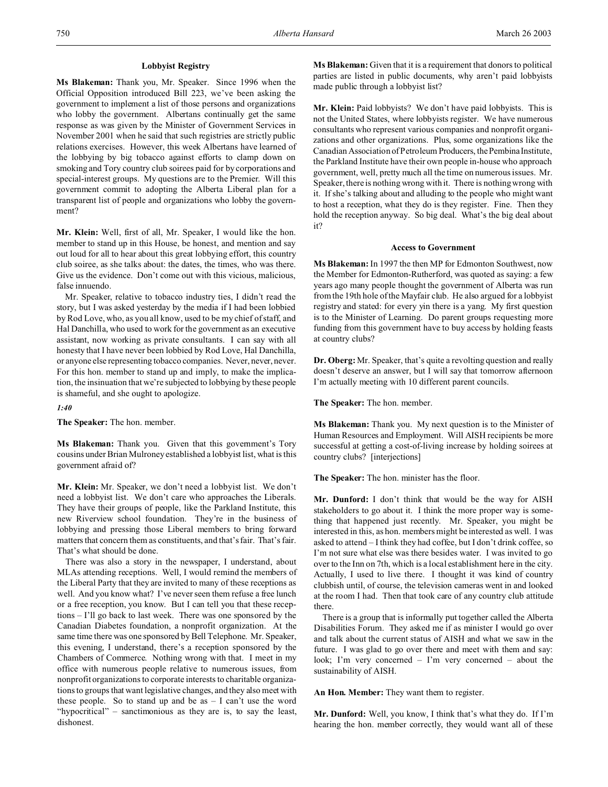## **Lobbyist Registry**

**Ms Blakeman:** Thank you, Mr. Speaker. Since 1996 when the Official Opposition introduced Bill 223, we've been asking the government to implement a list of those persons and organizations who lobby the government. Albertans continually get the same response as was given by the Minister of Government Services in November 2001 when he said that such registries are strictly public relations exercises. However, this week Albertans have learned of the lobbying by big tobacco against efforts to clamp down on smoking and Tory country club soirees paid for by corporations and special-interest groups. My questions are to the Premier. Will this government commit to adopting the Alberta Liberal plan for a transparent list of people and organizations who lobby the government?

**Mr. Klein:** Well, first of all, Mr. Speaker, I would like the hon. member to stand up in this House, be honest, and mention and say out loud for all to hear about this great lobbying effort, this country club soiree, as she talks about: the dates, the times, who was there. Give us the evidence. Don't come out with this vicious, malicious, false innuendo.

Mr. Speaker, relative to tobacco industry ties, I didn't read the story, but I was asked yesterday by the media if I had been lobbied by Rod Love, who, as you all know, used to be my chief of staff, and Hal Danchilla, who used to work for the government as an executive assistant, now working as private consultants. I can say with all honesty that I have never been lobbied by Rod Love, Hal Danchilla, or anyone else representing tobacco companies. Never, never, never. For this hon. member to stand up and imply, to make the implication, the insinuation that we're subjected to lobbying by these people is shameful, and she ought to apologize.

#### *1:40*

**The Speaker:** The hon. member.

**Ms Blakeman:** Thank you. Given that this government's Tory cousins under Brian Mulroney established a lobbyist list, what is this government afraid of?

**Mr. Klein:** Mr. Speaker, we don't need a lobbyist list. We don't need a lobbyist list. We don't care who approaches the Liberals. They have their groups of people, like the Parkland Institute, this new Riverview school foundation. They're in the business of lobbying and pressing those Liberal members to bring forward matters that concern them as constituents, and that's fair. That's fair. That's what should be done.

There was also a story in the newspaper, I understand, about MLAs attending receptions. Well, I would remind the members of the Liberal Party that they are invited to many of these receptions as well. And you know what? I've never seen them refuse a free lunch or a free reception, you know. But I can tell you that these receptions – I'll go back to last week. There was one sponsored by the Canadian Diabetes foundation, a nonprofit organization. At the same time there was one sponsored by Bell Telephone. Mr. Speaker, this evening, I understand, there's a reception sponsored by the Chambers of Commerce. Nothing wrong with that. I meet in my office with numerous people relative to numerous issues, from nonprofit organizations to corporate interests to charitable organizations to groups that want legislative changes, and they also meet with these people. So to stand up and be as  $- I$  can't use the word "hypocritical" – sanctimonious as they are is, to say the least, dishonest.

**Ms Blakeman:** Given that it is a requirement that donors to political parties are listed in public documents, why aren't paid lobbyists made public through a lobbyist list?

**Mr. Klein:** Paid lobbyists? We don't have paid lobbyists. This is not the United States, where lobbyists register. We have numerous consultants who represent various companies and nonprofit organizations and other organizations. Plus, some organizations like the Canadian Association of Petroleum Producers, the Pembina Institute, the Parkland Institute have their own people in-house who approach government, well, pretty much all the time on numerous issues. Mr. Speaker, there is nothing wrong with it. There is nothing wrong with it. If she's talking about and alluding to the people who might want to host a reception, what they do is they register. Fine. Then they hold the reception anyway. So big deal. What's the big deal about it?

### **Access to Government**

**Ms Blakeman:** In 1997 the then MP for Edmonton Southwest, now the Member for Edmonton-Rutherford, was quoted as saying: a few years ago many people thought the government of Alberta was run from the 19th hole of the Mayfair club. He also argued for a lobbyist registry and stated: for every yin there is a yang. My first question is to the Minister of Learning. Do parent groups requesting more funding from this government have to buy access by holding feasts at country clubs?

**Dr. Oberg:** Mr. Speaker, that's quite a revolting question and really doesn't deserve an answer, but I will say that tomorrow afternoon I'm actually meeting with 10 different parent councils.

**The Speaker:** The hon. member.

**Ms Blakeman:** Thank you. My next question is to the Minister of Human Resources and Employment. Will AISH recipients be more successful at getting a cost-of-living increase by holding soirees at country clubs? [interjections]

**The Speaker:** The hon. minister has the floor.

**Mr. Dunford:** I don't think that would be the way for AISH stakeholders to go about it. I think the more proper way is something that happened just recently. Mr. Speaker, you might be interested in this, as hon. members might be interested as well. I was asked to attend – I think they had coffee, but I don't drink coffee, so I'm not sure what else was there besides water. I was invited to go over to the Inn on 7th, which is a local establishment here in the city. Actually, I used to live there. I thought it was kind of country clubbish until, of course, the television cameras went in and looked at the room I had. Then that took care of any country club attitude there.

There is a group that is informally put together called the Alberta Disabilities Forum. They asked me if as minister I would go over and talk about the current status of AISH and what we saw in the future. I was glad to go over there and meet with them and say: look; I'm very concerned – I'm very concerned – about the sustainability of AISH.

**An Hon. Member:** They want them to register.

**Mr. Dunford:** Well, you know, I think that's what they do. If I'm hearing the hon. member correctly, they would want all of these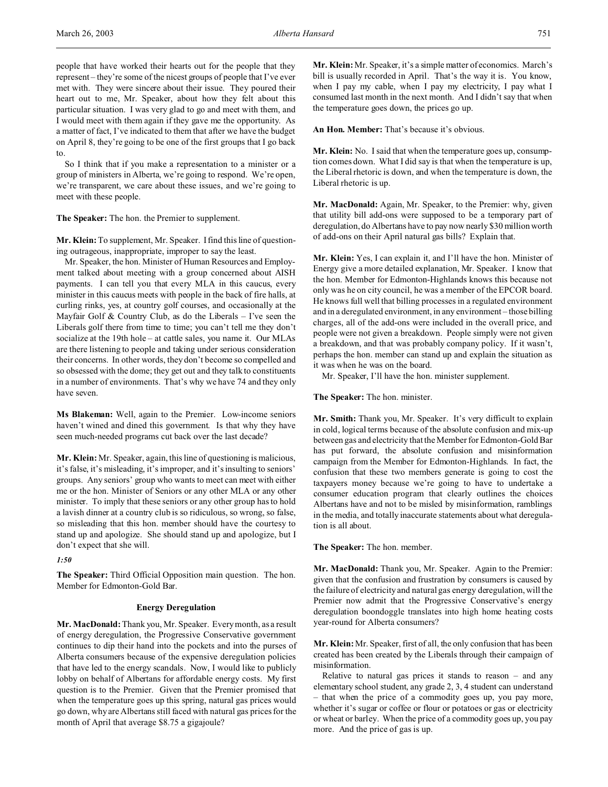people that have worked their hearts out for the people that they represent – they're some of the nicest groups of people that I've ever met with. They were sincere about their issue. They poured their heart out to me, Mr. Speaker, about how they felt about this particular situation. I was very glad to go and meet with them, and I would meet with them again if they gave me the opportunity. As a matter of fact, I've indicated to them that after we have the budget on April 8, they're going to be one of the first groups that I go back to.

So I think that if you make a representation to a minister or a group of ministers in Alberta, we're going to respond. We're open, we're transparent, we care about these issues, and we're going to meet with these people.

**The Speaker:** The hon. the Premier to supplement.

**Mr. Klein:** To supplement, Mr. Speaker. I find this line of questioning outrageous, inappropriate, improper to say the least.

Mr. Speaker, the hon. Minister of Human Resources and Employment talked about meeting with a group concerned about AISH payments. I can tell you that every MLA in this caucus, every minister in this caucus meets with people in the back of fire halls, at curling rinks, yes, at country golf courses, and occasionally at the Mayfair Golf  $&$  Country Club, as do the Liberals  $-$  I've seen the Liberals golf there from time to time; you can't tell me they don't socialize at the 19th hole – at cattle sales, you name it. Our MLAs are there listening to people and taking under serious consideration their concerns. In other words, they don't become so compelled and so obsessed with the dome; they get out and they talk to constituents in a number of environments. That's why we have 74 and they only have seven.

**Ms Blakeman:** Well, again to the Premier. Low-income seniors haven't wined and dined this government. Is that why they have seen much-needed programs cut back over the last decade?

**Mr. Klein:** Mr. Speaker, again, this line of questioning is malicious, it's false, it's misleading, it's improper, and it's insulting to seniors' groups. Any seniors' group who wants to meet can meet with either me or the hon. Minister of Seniors or any other MLA or any other minister. To imply that these seniors or any other group has to hold a lavish dinner at a country club is so ridiculous, so wrong, so false, so misleading that this hon. member should have the courtesy to stand up and apologize. She should stand up and apologize, but I don't expect that she will.

### *1:50*

**The Speaker:** Third Official Opposition main question. The hon. Member for Edmonton-Gold Bar.

## **Energy Deregulation**

**Mr. MacDonald:** Thank you, Mr. Speaker. Every month, as a result of energy deregulation, the Progressive Conservative government continues to dip their hand into the pockets and into the purses of Alberta consumers because of the expensive deregulation policies that have led to the energy scandals. Now, I would like to publicly lobby on behalf of Albertans for affordable energy costs. My first question is to the Premier. Given that the Premier promised that when the temperature goes up this spring, natural gas prices would go down, why are Albertans still faced with natural gas prices for the month of April that average \$8.75 a gigajoule?

**Mr. Klein:** Mr. Speaker, it's a simple matter of economics. March's bill is usually recorded in April. That's the way it is. You know, when I pay my cable, when I pay my electricity, I pay what I consumed last month in the next month. And I didn't say that when the temperature goes down, the prices go up.

**An Hon. Member:** That's because it's obvious.

**Mr. Klein:** No. I said that when the temperature goes up, consumption comes down. What I did say is that when the temperature is up, the Liberal rhetoric is down, and when the temperature is down, the Liberal rhetoric is up.

**Mr. MacDonald:** Again, Mr. Speaker, to the Premier: why, given that utility bill add-ons were supposed to be a temporary part of deregulation, do Albertans have to pay now nearly \$30 million worth of add-ons on their April natural gas bills? Explain that.

Mr. Klein: Yes, I can explain it, and I'll have the hon. Minister of Energy give a more detailed explanation, Mr. Speaker. I know that the hon. Member for Edmonton-Highlands knows this because not only was he on city council, he was a member of the EPCOR board. He knows full well that billing processes in a regulated environment and in a deregulated environment, in any environment – those billing charges, all of the add-ons were included in the overall price, and people were not given a breakdown. People simply were not given a breakdown, and that was probably company policy. If it wasn't, perhaps the hon. member can stand up and explain the situation as it was when he was on the board.

Mr. Speaker, I'll have the hon. minister supplement.

**The Speaker:** The hon. minister.

**Mr. Smith:** Thank you, Mr. Speaker. It's very difficult to explain in cold, logical terms because of the absolute confusion and mix-up between gas and electricity that the Member for Edmonton-Gold Bar has put forward, the absolute confusion and misinformation campaign from the Member for Edmonton-Highlands. In fact, the confusion that these two members generate is going to cost the taxpayers money because we're going to have to undertake a consumer education program that clearly outlines the choices Albertans have and not to be misled by misinformation, ramblings in the media, and totally inaccurate statements about what deregulation is all about.

**The Speaker:** The hon. member.

**Mr. MacDonald:** Thank you, Mr. Speaker. Again to the Premier: given that the confusion and frustration by consumers is caused by the failure of electricity and natural gas energy deregulation, will the Premier now admit that the Progressive Conservative's energy deregulation boondoggle translates into high home heating costs year-round for Alberta consumers?

**Mr. Klein:** Mr. Speaker, first of all, the only confusion that has been created has been created by the Liberals through their campaign of misinformation.

Relative to natural gas prices it stands to reason – and any elementary school student, any grade 2, 3, 4 student can understand – that when the price of a commodity goes up, you pay more, whether it's sugar or coffee or flour or potatoes or gas or electricity or wheat or barley. When the price of a commodity goes up, you pay more. And the price of gas is up.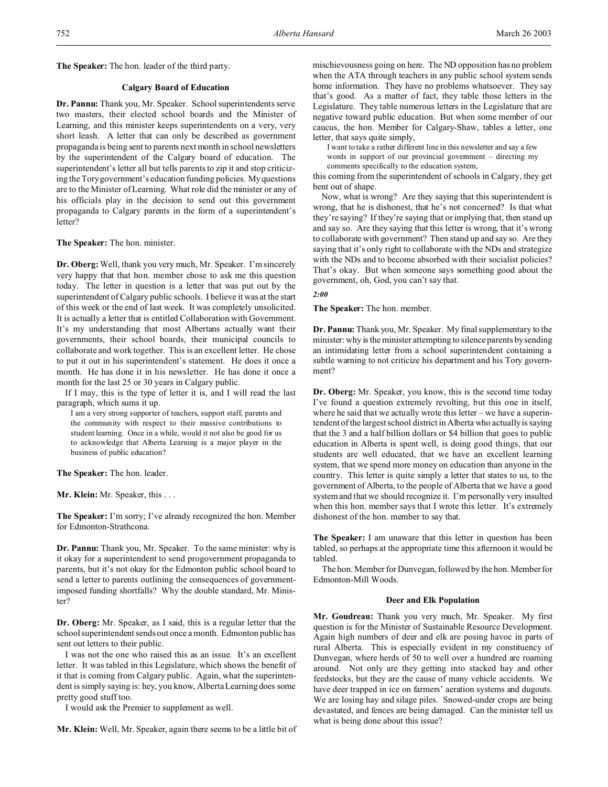**The Speaker:** The hon. leader of the third party.

### **Calgary Board of Education**

**Dr. Pannu:** Thank you, Mr. Speaker. School superintendents serve two masters, their elected school boards and the Minister of Learning, and this minister keeps superintendents on a very, very short leash. A letter that can only be described as government propaganda is being sent to parents next month in school newsletters by the superintendent of the Calgary board of education. The superintendent's letter all but tells parents to zip it and stop criticizing the Tory government's education funding policies. Myquestions are to the Minister of Learning. What role did the minister or any of his officials play in the decision to send out this government propaganda to Calgary parents in the form of a superintendent's letter?

**The Speaker:** The hon. minister.

**Dr. Oberg:**Well, thank you very much, Mr. Speaker. I'm sincerely very happy that that hon. member chose to ask me this question today. The letter in question is a letter that was put out by the superintendent of Calgary public schools. I believe it was at the start of this week or the end of last week. It was completely unsolicited. It is actually a letter that is entitled Collaboration with Government. It's my understanding that most Albertans actually want their governments, their school boards, their municipal councils to collaborate and work together. This is an excellent letter. He chose to put it out in his superintendent's statement. He does it once a month. He has done it in his newsletter. He has done it once a month for the last 25 or 30 years in Calgary public.

If I may, this is the type of letter it is, and I will read the last paragraph, which sums it up.

I am a very strong supporter of teachers, support staff, parents and the community with respect to their massive contributions to student learning. Once in a while, would it not also be good for us to acknowledge that Alberta Learning is a major player in the business of public education?

**The Speaker:** The hon. leader.

**Mr. Klein:** Mr. Speaker, this . . .

**The Speaker:** I'm sorry; I've already recognized the hon. Member for Edmonton-Strathcona.

**Dr. Pannu:** Thank you, Mr. Speaker. To the same minister: why is it okay for a superintendent to send progovernment propaganda to parents, but it's not okay for the Edmonton public school board to send a letter to parents outlining the consequences of governmentimposed funding shortfalls? Why the double standard, Mr. Minister?

**Dr. Oberg:** Mr. Speaker, as I said, this is a regular letter that the school superintendent sends out once a month. Edmonton public has sent out letters to their public.

I was not the one who raised this as an issue. It's an excellent letter. It was tabled in this Legislature, which shows the benefit of it that is coming from Calgary public. Again, what the superintendent is simply saying is: hey, you know, Alberta Learning does some pretty good stuff too.

I would ask the Premier to supplement as well.

**Mr. Klein:** Well, Mr. Speaker, again there seems to be a little bit of

mischievousness going on here. The ND opposition has no problem when the ATA through teachers in any public school system sends home information. They have no problems whatsoever. They say that's good. As a matter of fact, they table those letters in the Legislature. They table numerous letters in the Legislature that are negative toward public education. But when some member of our caucus, the hon. Member for Calgary-Shaw, tables a letter, one letter, that says quite simply,

I want to take a rather different line in this newsletter and say a few words in support of our provincial government – directing my comments specifically to the education system,

this coming from the superintendent of schools in Calgary, they get bent out of shape.

Now, what is wrong? Are they saying that this superintendent is wrong, that he is dishonest, that he's not concerned? Is that what they're saying? If they're saying that or implying that, then stand up and say so. Are they saying that this letter is wrong, that it's wrong to collaborate with government? Then stand up and say so. Are they saying that it's only right to collaborate with the NDs and strategize with the NDs and to become absorbed with their socialist policies? That's okay. But when someone says something good about the government, oh, God, you can't say that.

## *2:00*

**The Speaker:** The hon. member.

**Dr. Pannu:** Thank you, Mr. Speaker. My final supplementary to the minister: why is the minister attempting to silence parents by sending an intimidating letter from a school superintendent containing a subtle warning to not criticize his department and his Tory government?

**Dr. Oberg:** Mr. Speaker, you know, this is the second time today I've found a question extremely revolting, but this one in itself, where he said that we actually wrote this letter – we have a superintendent of the largest school district in Alberta who actually is saying that the 3 and a half billion dollars or \$4 billion that goes to public education in Alberta is spent well, is doing good things, that our students are well educated, that we have an excellent learning system, that we spend more money on education than anyone in the country. This letter is quite simply a letter that states to us, to the government of Alberta, to the people of Alberta that we have a good system and that we should recognize it. I'm personally very insulted when this hon. member says that I wrote this letter. It's extremely dishonest of the hon. member to say that.

**The Speaker:** I am unaware that this letter in question has been tabled, so perhaps at the appropriate time this afternoon it would be tabled.

The hon. Member for Dunvegan, followed by the hon. Member for Edmonton-Mill Woods.

### **Deer and Elk Population**

**Mr. Goudreau:** Thank you very much, Mr. Speaker. My first question is for the Minister of Sustainable Resource Development. Again high numbers of deer and elk are posing havoc in parts of rural Alberta. This is especially evident in my constituency of Dunvegan, where herds of 50 to well over a hundred are roaming around. Not only are they getting into stacked hay and other feedstocks, but they are the cause of many vehicle accidents. We have deer trapped in ice on farmers' aeration systems and dugouts. We are losing hay and silage piles. Snowed-under crops are being devastated, and fences are being damaged. Can the minister tell us what is being done about this issue?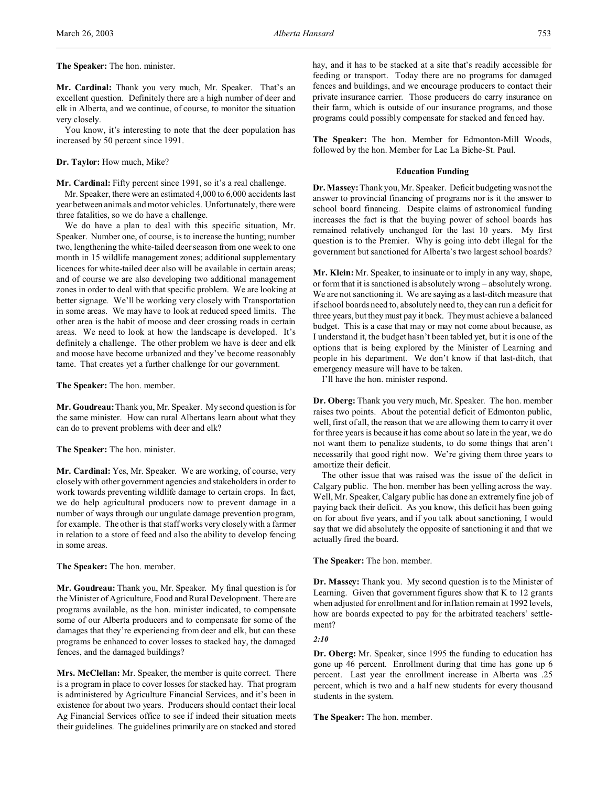## **The Speaker:** The hon. minister.

**Mr. Cardinal:** Thank you very much, Mr. Speaker. That's an excellent question. Definitely there are a high number of deer and elk in Alberta, and we continue, of course, to monitor the situation very closely.

You know, it's interesting to note that the deer population has increased by 50 percent since 1991.

### **Dr. Taylor:** How much, Mike?

**Mr. Cardinal:** Fifty percent since 1991, so it's a real challenge.

Mr. Speaker, there were an estimated 4,000 to 6,000 accidents last year between animals and motor vehicles. Unfortunately, there were three fatalities, so we do have a challenge.

We do have a plan to deal with this specific situation, Mr. Speaker. Number one, of course, is to increase the hunting; number two, lengthening the white-tailed deer season from one week to one month in 15 wildlife management zones; additional supplementary licences for white-tailed deer also will be available in certain areas; and of course we are also developing two additional management zones in order to deal with that specific problem. We are looking at better signage. We'll be working very closely with Transportation in some areas. We may have to look at reduced speed limits. The other area is the habit of moose and deer crossing roads in certain areas. We need to look at how the landscape is developed. It's definitely a challenge. The other problem we have is deer and elk and moose have become urbanized and they've become reasonably tame. That creates yet a further challenge for our government.

**The Speaker:** The hon. member.

**Mr. Goudreau:**Thank you, Mr. Speaker. My second question is for the same minister. How can rural Albertans learn about what they can do to prevent problems with deer and elk?

**The Speaker:** The hon. minister.

**Mr. Cardinal:** Yes, Mr. Speaker. We are working, of course, very closely with other government agencies and stakeholders in order to work towards preventing wildlife damage to certain crops. In fact, we do help agricultural producers now to prevent damage in a number of ways through our ungulate damage prevention program, for example. The other is that staff works very closely with a farmer in relation to a store of feed and also the ability to develop fencing in some areas.

**The Speaker:** The hon. member.

**Mr. Goudreau:** Thank you, Mr. Speaker. My final question is for the Minister of Agriculture, Food and Rural Development. There are programs available, as the hon. minister indicated, to compensate some of our Alberta producers and to compensate for some of the damages that they're experiencing from deer and elk, but can these programs be enhanced to cover losses to stacked hay, the damaged fences, and the damaged buildings?

**Mrs. McClellan:** Mr. Speaker, the member is quite correct. There is a program in place to cover losses for stacked hay. That program is administered by Agriculture Financial Services, and it's been in existence for about two years. Producers should contact their local Ag Financial Services office to see if indeed their situation meets their guidelines. The guidelines primarily are on stacked and stored

hay, and it has to be stacked at a site that's readily accessible for feeding or transport. Today there are no programs for damaged fences and buildings, and we encourage producers to contact their private insurance carrier. Those producers do carry insurance on their farm, which is outside of our insurance programs, and those programs could possibly compensate for stacked and fenced hay.

**The Speaker:** The hon. Member for Edmonton-Mill Woods, followed by the hon. Member for Lac La Biche-St. Paul.

#### **Education Funding**

**Dr. Massey:** Thank you, Mr. Speaker. Deficit budgeting was not the answer to provincial financing of programs nor is it the answer to school board financing. Despite claims of astronomical funding increases the fact is that the buying power of school boards has remained relatively unchanged for the last 10 years. My first question is to the Premier. Why is going into debt illegal for the government but sanctioned for Alberta's two largest school boards?

**Mr. Klein:** Mr. Speaker, to insinuate or to imply in any way, shape, or form that it is sanctioned is absolutely wrong – absolutely wrong. We are not sanctioning it. We are saying as a last-ditch measure that if school boards need to, absolutely need to, they can run a deficit for three years, but they must pay it back. They must achieve a balanced budget. This is a case that may or may not come about because, as I understand it, the budget hasn't been tabled yet, but it is one of the options that is being explored by the Minister of Learning and people in his department. We don't know if that last-ditch, that emergency measure will have to be taken.

I'll have the hon. minister respond.

**Dr. Oberg:** Thank you very much, Mr. Speaker. The hon. member raises two points. About the potential deficit of Edmonton public, well, first of all, the reason that we are allowing them to carry it over for three years is because it has come about so late in the year, we do not want them to penalize students, to do some things that aren't necessarily that good right now. We're giving them three years to amortize their deficit.

The other issue that was raised was the issue of the deficit in Calgary public. The hon. member has been yelling across the way. Well, Mr. Speaker, Calgary public has done an extremely fine job of paying back their deficit. As you know, this deficit has been going on for about five years, and if you talk about sanctioning, I would say that we did absolutely the opposite of sanctioning it and that we actually fired the board.

**The Speaker:** The hon. member.

**Dr. Massey:** Thank you. My second question is to the Minister of Learning. Given that government figures show that K to 12 grants when adjusted for enrollment and for inflation remain at 1992 levels, how are boards expected to pay for the arbitrated teachers' settlement?

*2:10*

**Dr. Oberg:** Mr. Speaker, since 1995 the funding to education has gone up 46 percent. Enrollment during that time has gone up 6 percent. Last year the enrollment increase in Alberta was .25 percent, which is two and a half new students for every thousand students in the system.

**The Speaker:** The hon. member.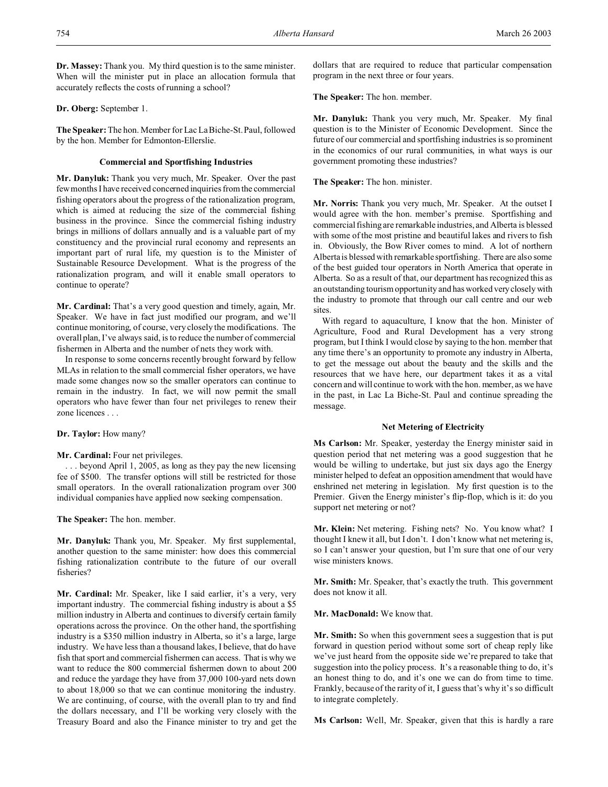## **Dr. Oberg:** September 1.

**The Speaker:** The hon. Member for Lac La Biche-St. Paul, followed by the hon. Member for Edmonton-Ellerslie.

accurately reflects the costs of running a school?

## **Commercial and Sportfishing Industries**

**Mr. Danyluk:** Thank you very much, Mr. Speaker. Over the past few months I have received concerned inquiries from the commercial fishing operators about the progress of the rationalization program, which is aimed at reducing the size of the commercial fishing business in the province. Since the commercial fishing industry brings in millions of dollars annually and is a valuable part of my constituency and the provincial rural economy and represents an important part of rural life, my question is to the Minister of Sustainable Resource Development. What is the progress of the rationalization program, and will it enable small operators to continue to operate?

**Mr. Cardinal:** That's a very good question and timely, again, Mr. Speaker. We have in fact just modified our program, and we'll continue monitoring, of course, very closely the modifications. The overall plan, I've always said, is to reduce the number of commercial fishermen in Alberta and the number of nets they work with.

In response to some concerns recently brought forward by fellow MLAs in relation to the small commercial fisher operators, we have made some changes now so the smaller operators can continue to remain in the industry. In fact, we will now permit the small operators who have fewer than four net privileges to renew their zone licences . . .

**Dr. Taylor:** How many?

## **Mr. Cardinal:** Four net privileges.

. . . beyond April 1, 2005, as long as they pay the new licensing fee of \$500. The transfer options will still be restricted for those small operators. In the overall rationalization program over 300 individual companies have applied now seeking compensation.

**The Speaker:** The hon. member.

**Mr. Danyluk:** Thank you, Mr. Speaker. My first supplemental, another question to the same minister: how does this commercial fishing rationalization contribute to the future of our overall fisheries?

**Mr. Cardinal:** Mr. Speaker, like I said earlier, it's a very, very important industry. The commercial fishing industry is about a \$5 million industry in Alberta and continues to diversify certain family operations across the province. On the other hand, the sportfishing industry is a \$350 million industry in Alberta, so it's a large, large industry. We have less than a thousand lakes, I believe, that do have fish that sport and commercial fishermen can access. That is why we want to reduce the 800 commercial fishermen down to about 200 and reduce the yardage they have from 37,000 100-yard nets down to about 18,000 so that we can continue monitoring the industry. We are continuing, of course, with the overall plan to try and find the dollars necessary, and I'll be working very closely with the Treasury Board and also the Finance minister to try and get the dollars that are required to reduce that particular compensation program in the next three or four years.

**The Speaker:** The hon. member.

**Mr. Danyluk:** Thank you very much, Mr. Speaker. My final question is to the Minister of Economic Development. Since the future of our commercial and sportfishing industries is so prominent in the economics of our rural communities, in what ways is our government promoting these industries?

**The Speaker:** The hon. minister.

**Mr. Norris:** Thank you very much, Mr. Speaker. At the outset I would agree with the hon. member's premise. Sportfishing and commercial fishing are remarkable industries, and Alberta is blessed with some of the most pristine and beautiful lakes and rivers to fish in. Obviously, the Bow River comes to mind. A lot of northern Alberta is blessed with remarkable sportfishing. There are also some of the best guided tour operators in North America that operate in Alberta. So as a result of that, our department has recognized this as an outstanding tourism opportunity and has worked veryclosely with the industry to promote that through our call centre and our web sites.

With regard to aquaculture, I know that the hon. Minister of Agriculture, Food and Rural Development has a very strong program, but I think I would close by saying to the hon. member that any time there's an opportunity to promote any industry in Alberta, to get the message out about the beauty and the skills and the resources that we have here, our department takes it as a vital concern and will continue to work with the hon. member, as we have in the past, in Lac La Biche-St. Paul and continue spreading the message.

## **Net Metering of Electricity**

**Ms Carlson:** Mr. Speaker, yesterday the Energy minister said in question period that net metering was a good suggestion that he would be willing to undertake, but just six days ago the Energy minister helped to defeat an opposition amendment that would have enshrined net metering in legislation. My first question is to the Premier. Given the Energy minister's flip-flop, which is it: do you support net metering or not?

**Mr. Klein:** Net metering. Fishing nets? No. You know what? I thought I knew it all, but I don't. I don't know what net metering is, so I can't answer your question, but I'm sure that one of our very wise ministers knows.

**Mr. Smith:** Mr. Speaker, that's exactly the truth. This government does not know it all.

## **Mr. MacDonald:** We know that.

**Mr. Smith:** So when this government sees a suggestion that is put forward in question period without some sort of cheap reply like we've just heard from the opposite side we're prepared to take that suggestion into the policy process. It's a reasonable thing to do, it's an honest thing to do, and it's one we can do from time to time. Frankly, because of the rarity of it, I guess that's why it's so difficult to integrate completely.

**Ms Carlson:** Well, Mr. Speaker, given that this is hardly a rare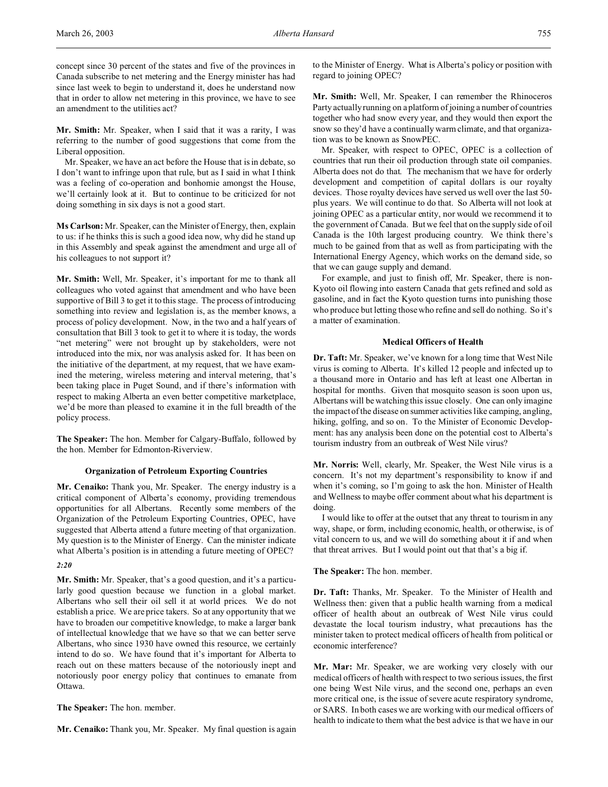concept since 30 percent of the states and five of the provinces in Canada subscribe to net metering and the Energy minister has had since last week to begin to understand it, does he understand now that in order to allow net metering in this province, we have to see an amendment to the utilities act?

**Mr. Smith:** Mr. Speaker, when I said that it was a rarity, I was referring to the number of good suggestions that come from the Liberal opposition.

Mr. Speaker, we have an act before the House that is in debate, so I don't want to infringe upon that rule, but as I said in what I think was a feeling of co-operation and bonhomie amongst the House, we'll certainly look at it. But to continue to be criticized for not doing something in six days is not a good start.

**Ms Carlson:** Mr. Speaker, can the Minister of Energy, then, explain to us: if he thinks this is such a good idea now, why did he stand up in this Assembly and speak against the amendment and urge all of his colleagues to not support it?

**Mr. Smith:** Well, Mr. Speaker, it's important for me to thank all colleagues who voted against that amendment and who have been supportive of Bill 3 to get it to this stage. The process of introducing something into review and legislation is, as the member knows, a process of policy development. Now, in the two and a half years of consultation that Bill 3 took to get it to where it is today, the words "net metering" were not brought up by stakeholders, were not introduced into the mix, nor was analysis asked for. It has been on the initiative of the department, at my request, that we have examined the metering, wireless metering and interval metering, that's been taking place in Puget Sound, and if there's information with respect to making Alberta an even better competitive marketplace, we'd be more than pleased to examine it in the full breadth of the policy process.

**The Speaker:** The hon. Member for Calgary-Buffalo, followed by the hon. Member for Edmonton-Riverview.

#### **Organization of Petroleum Exporting Countries**

**Mr. Cenaiko:** Thank you, Mr. Speaker. The energy industry is a critical component of Alberta's economy, providing tremendous opportunities for all Albertans. Recently some members of the Organization of the Petroleum Exporting Countries, OPEC, have suggested that Alberta attend a future meeting of that organization. My question is to the Minister of Energy. Can the minister indicate what Alberta's position is in attending a future meeting of OPEC? *2:20*

**Mr. Smith:** Mr. Speaker, that's a good question, and it's a particularly good question because we function in a global market. Albertans who sell their oil sell it at world prices. We do not establish a price. We are price takers. So at any opportunity that we have to broaden our competitive knowledge, to make a larger bank of intellectual knowledge that we have so that we can better serve Albertans, who since 1930 have owned this resource, we certainly intend to do so. We have found that it's important for Alberta to reach out on these matters because of the notoriously inept and notoriously poor energy policy that continues to emanate from Ottawa.

#### **The Speaker:** The hon. member.

**Mr. Cenaiko:** Thank you, Mr. Speaker. My final question is again

to the Minister of Energy. What is Alberta's policy or position with regard to joining OPEC?

**Mr. Smith:** Well, Mr. Speaker, I can remember the Rhinoceros Party actually running on a platform of joining a number of countries together who had snow every year, and they would then export the snow so they'd have a continually warm climate, and that organization was to be known as SnowPEC.

Mr. Speaker, with respect to OPEC, OPEC is a collection of countries that run their oil production through state oil companies. Alberta does not do that. The mechanism that we have for orderly development and competition of capital dollars is our royalty devices. Those royalty devices have served us well over the last 50 plus years. We will continue to do that. So Alberta will not look at joining OPEC as a particular entity, nor would we recommend it to the government of Canada. But we feel that on the supply side of oil Canada is the 10th largest producing country. We think there's much to be gained from that as well as from participating with the International Energy Agency, which works on the demand side, so that we can gauge supply and demand.

For example, and just to finish off, Mr. Speaker, there is non-Kyoto oil flowing into eastern Canada that gets refined and sold as gasoline, and in fact the Kyoto question turns into punishing those who produce but letting those who refine and sell do nothing. So it's a matter of examination.

### **Medical Officers of Health**

**Dr. Taft:** Mr. Speaker, we've known for a long time that West Nile virus is coming to Alberta. It's killed 12 people and infected up to a thousand more in Ontario and has left at least one Albertan in hospital for months. Given that mosquito season is soon upon us, Albertans will be watching this issue closely. One can only imagine the impact of the disease on summer activities like camping, angling, hiking, golfing, and so on. To the Minister of Economic Development: has any analysis been done on the potential cost to Alberta's tourism industry from an outbreak of West Nile virus?

**Mr. Norris:** Well, clearly, Mr. Speaker, the West Nile virus is a concern. It's not my department's responsibility to know if and when it's coming, so I'm going to ask the hon. Minister of Health and Wellness to maybe offer comment about what his department is doing.

I would like to offer at the outset that any threat to tourism in any way, shape, or form, including economic, health, or otherwise, is of vital concern to us, and we will do something about it if and when that threat arrives. But I would point out that that's a big if.

#### **The Speaker:** The hon. member.

**Dr. Taft:** Thanks, Mr. Speaker. To the Minister of Health and Wellness then: given that a public health warning from a medical officer of health about an outbreak of West Nile virus could devastate the local tourism industry, what precautions has the minister taken to protect medical officers of health from political or economic interference?

**Mr. Mar:** Mr. Speaker, we are working very closely with our medical officers of health with respect to two serious issues, the first one being West Nile virus, and the second one, perhaps an even more critical one, is the issue of severe acute respiratory syndrome, or SARS. In both cases we are working with our medical officers of health to indicate to them what the best advice is that we have in our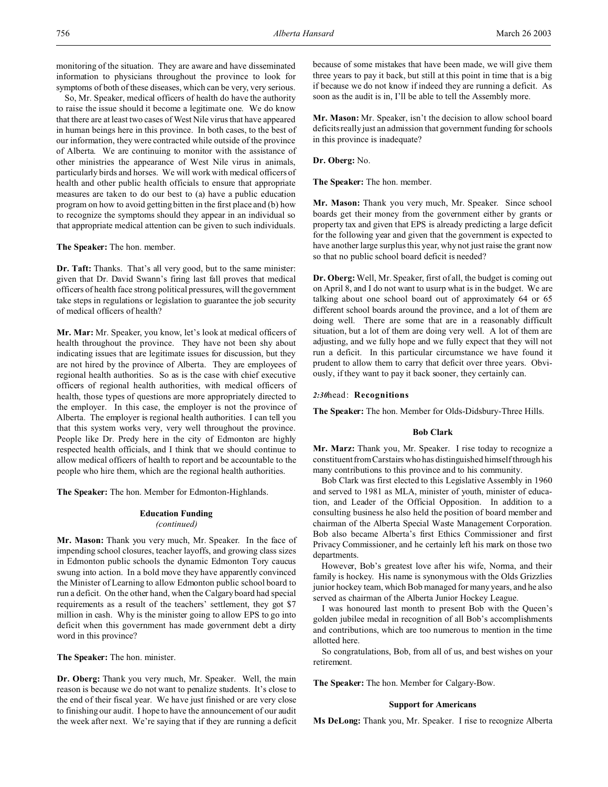monitoring of the situation. They are aware and have disseminated information to physicians throughout the province to look for symptoms of both of these diseases, which can be very, very serious.

So, Mr. Speaker, medical officers of health do have the authority to raise the issue should it become a legitimate one. We do know that there are at least two cases of West Nile virus that have appeared in human beings here in this province. In both cases, to the best of our information, they were contracted while outside of the province of Alberta. We are continuing to monitor with the assistance of other ministries the appearance of West Nile virus in animals, particularly birds and horses. We will work with medical officers of health and other public health officials to ensure that appropriate measures are taken to do our best to (a) have a public education program on how to avoid getting bitten in the first place and (b) how to recognize the symptoms should they appear in an individual so that appropriate medical attention can be given to such individuals.

**The Speaker:** The hon. member.

**Dr. Taft:** Thanks. That's all very good, but to the same minister: given that Dr. David Swann's firing last fall proves that medical officers of health face strong political pressures, will the government take steps in regulations or legislation to guarantee the job security of medical officers of health?

**Mr. Mar:** Mr. Speaker, you know, let's look at medical officers of health throughout the province. They have not been shy about indicating issues that are legitimate issues for discussion, but they are not hired by the province of Alberta. They are employees of regional health authorities. So as is the case with chief executive officers of regional health authorities, with medical officers of health, those types of questions are more appropriately directed to the employer. In this case, the employer is not the province of Alberta. The employer is regional health authorities. I can tell you that this system works very, very well throughout the province. People like Dr. Predy here in the city of Edmonton are highly respected health officials, and I think that we should continue to allow medical officers of health to report and be accountable to the people who hire them, which are the regional health authorities.

**The Speaker:** The hon. Member for Edmonton-Highlands.

### **Education Funding**

#### *(continued)*

**Mr. Mason:** Thank you very much, Mr. Speaker. In the face of impending school closures, teacher layoffs, and growing class sizes in Edmonton public schools the dynamic Edmonton Tory caucus swung into action. In a bold move they have apparently convinced the Minister of Learning to allow Edmonton public school board to run a deficit. On the other hand, when the Calgary board had special requirements as a result of the teachers' settlement, they got \$7 million in cash. Why is the minister going to allow EPS to go into deficit when this government has made government debt a dirty word in this province?

**The Speaker:** The hon. minister.

**Dr. Oberg:** Thank you very much, Mr. Speaker. Well, the main reason is because we do not want to penalize students. It's close to the end of their fiscal year. We have just finished or are very close to finishing our audit. I hope to have the announcement of our audit the week after next. We're saying that if they are running a deficit because of some mistakes that have been made, we will give them three years to pay it back, but still at this point in time that is a big if because we do not know if indeed they are running a deficit. As soon as the audit is in, I'll be able to tell the Assembly more.

**Mr. Mason:** Mr. Speaker, isn't the decision to allow school board deficits really just an admission that government funding for schools in this province is inadequate?

**Dr. Oberg:** No.

**The Speaker:** The hon. member.

**Mr. Mason:** Thank you very much, Mr. Speaker. Since school boards get their money from the government either by grants or property tax and given that EPS is already predicting a large deficit for the following year and given that the government is expected to have another large surplus this year, why not just raise the grant now so that no public school board deficit is needed?

**Dr. Oberg:** Well, Mr. Speaker, first of all, the budget is coming out on April 8, and I do not want to usurp what is in the budget. We are talking about one school board out of approximately 64 or 65 different school boards around the province, and a lot of them are doing well. There are some that are in a reasonably difficult situation, but a lot of them are doing very well. A lot of them are adjusting, and we fully hope and we fully expect that they will not run a deficit. In this particular circumstance we have found it prudent to allow them to carry that deficit over three years. Obviously, if they want to pay it back sooner, they certainly can.

#### *2:30*head: **Recognitions**

**The Speaker:** The hon. Member for Olds-Didsbury-Three Hills.

#### **Bob Clark**

**Mr. Marz:** Thank you, Mr. Speaker. I rise today to recognize a constituent from Carstairs who has distinguished himself through his many contributions to this province and to his community.

Bob Clark was first elected to this Legislative Assembly in 1960 and served to 1981 as MLA, minister of youth, minister of education, and Leader of the Official Opposition. In addition to a consulting business he also held the position of board member and chairman of the Alberta Special Waste Management Corporation. Bob also became Alberta's first Ethics Commissioner and first Privacy Commissioner, and he certainly left his mark on those two departments.

However, Bob's greatest love after his wife, Norma, and their family is hockey. His name is synonymous with the Olds Grizzlies junior hockey team, which Bob managed for many years, and he also served as chairman of the Alberta Junior Hockey League.

I was honoured last month to present Bob with the Queen's golden jubilee medal in recognition of all Bob's accomplishments and contributions, which are too numerous to mention in the time allotted here.

So congratulations, Bob, from all of us, and best wishes on your retirement.

**The Speaker:** The hon. Member for Calgary-Bow.

#### **Support for Americans**

**Ms DeLong:** Thank you, Mr. Speaker. I rise to recognize Alberta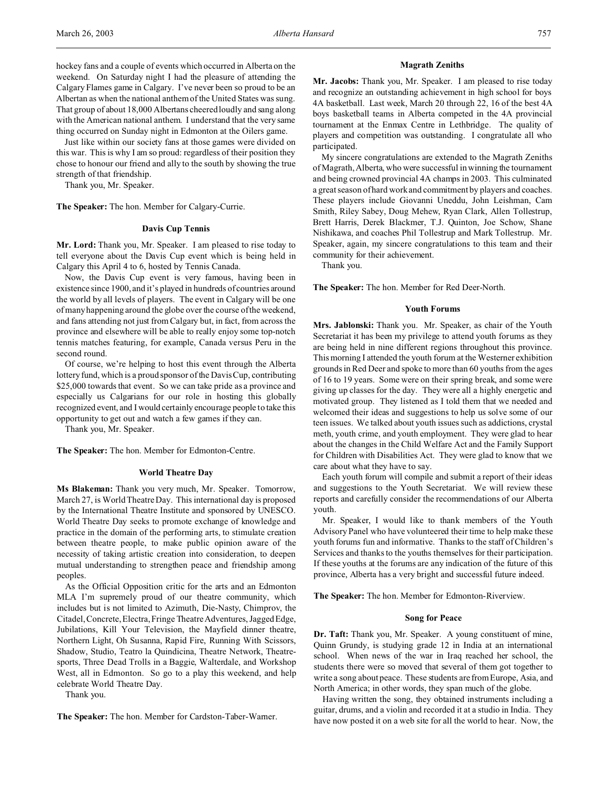hockey fans and a couple of events which occurred in Alberta on the weekend. On Saturday night I had the pleasure of attending the Calgary Flames game in Calgary. I've never been so proud to be an Albertan as when the national anthem of the United States was sung. That group of about 18,000 Albertans cheered loudly and sang along with the American national anthem. I understand that the very same thing occurred on Sunday night in Edmonton at the Oilers game.

Just like within our society fans at those games were divided on this war. This is why I am so proud: regardless of their position they chose to honour our friend and ally to the south by showing the true strength of that friendship.

Thank you, Mr. Speaker.

**The Speaker:** The hon. Member for Calgary-Currie.

## **Davis Cup Tennis**

**Mr. Lord:** Thank you, Mr. Speaker. I am pleased to rise today to tell everyone about the Davis Cup event which is being held in Calgary this April 4 to 6, hosted by Tennis Canada.

Now, the Davis Cup event is very famous, having been in existence since 1900, and it's played in hundreds of countries around the world by all levels of players. The event in Calgary will be one of many happening around the globe over the course of the weekend, and fans attending not just from Calgary but, in fact, from across the province and elsewhere will be able to really enjoy some top-notch tennis matches featuring, for example, Canada versus Peru in the second round.

Of course, we're helping to host this event through the Alberta lottery fund, which is a proud sponsor of the Davis Cup, contributing \$25,000 towards that event. So we can take pride as a province and especially us Calgarians for our role in hosting this globally recognized event, and I would certainly encourage people to take this opportunity to get out and watch a few games if they can.

Thank you, Mr. Speaker.

**The Speaker:** The hon. Member for Edmonton-Centre.

### **World Theatre Day**

**Ms Blakeman:** Thank you very much, Mr. Speaker. Tomorrow, March 27, is World Theatre Day. This international day is proposed by the International Theatre Institute and sponsored by UNESCO. World Theatre Day seeks to promote exchange of knowledge and practice in the domain of the performing arts, to stimulate creation between theatre people, to make public opinion aware of the necessity of taking artistic creation into consideration, to deepen mutual understanding to strengthen peace and friendship among peoples.

As the Official Opposition critic for the arts and an Edmonton MLA I'm supremely proud of our theatre community, which includes but is not limited to Azimuth, Die-Nasty, Chimprov, the Citadel, Concrete, Electra, Fringe Theatre Adventures, Jagged Edge, Jubilations, Kill Your Television, the Mayfield dinner theatre, Northern Light, Oh Susanna, Rapid Fire, Running With Scissors, Shadow, Studio, Teatro la Quindicina, Theatre Network, Theatresports, Three Dead Trolls in a Baggie, Walterdale, and Workshop West, all in Edmonton. So go to a play this weekend, and help celebrate World Theatre Day.

Thank you.

**The Speaker:** The hon. Member for Cardston-Taber-Warner.

### **Magrath Zeniths**

**Mr. Jacobs:** Thank you, Mr. Speaker. I am pleased to rise today and recognize an outstanding achievement in high school for boys 4A basketball. Last week, March 20 through 22, 16 of the best 4A boys basketball teams in Alberta competed in the 4A provincial tournament at the Enmax Centre in Lethbridge. The quality of players and competition was outstanding. I congratulate all who participated.

My sincere congratulations are extended to the Magrath Zeniths of Magrath, Alberta, who were successful in winning the tournament and being crowned provincial 4A champs in 2003. This culminated a great season of hard work and commitment by players and coaches. These players include Giovanni Uneddu, John Leishman, Cam Smith, Riley Sabey, Doug Mehew, Ryan Clark, Allen Tollestrup, Brett Harris, Derek Blackmer, T.J. Quinton, Joe Schow, Shane Nishikawa, and coaches Phil Tollestrup and Mark Tollestrup. Mr. Speaker, again, my sincere congratulations to this team and their community for their achievement.

Thank you.

**The Speaker:** The hon. Member for Red Deer-North.

### **Youth Forums**

**Mrs. Jablonski:** Thank you. Mr. Speaker, as chair of the Youth Secretariat it has been my privilege to attend youth forums as they are being held in nine different regions throughout this province. This morning I attended the youth forum at the Westerner exhibition grounds in Red Deer and spoke to more than 60 youths from the ages of 16 to 19 years. Some were on their spring break, and some were giving up classes for the day. They were all a highly energetic and motivated group. They listened as I told them that we needed and welcomed their ideas and suggestions to help us solve some of our teen issues. We talked about youth issues such as addictions, crystal meth, youth crime, and youth employment. They were glad to hear about the changes in the Child Welfare Act and the Family Support for Children with Disabilities Act. They were glad to know that we care about what they have to say.

Each youth forum will compile and submit a report of their ideas and suggestions to the Youth Secretariat. We will review these reports and carefully consider the recommendations of our Alberta youth.

Mr. Speaker, I would like to thank members of the Youth Advisory Panel who have volunteered their time to help make these youth forums fun and informative. Thanks to the staff of Children's Services and thanks to the youths themselves for their participation. If these youths at the forums are any indication of the future of this province, Alberta has a very bright and successful future indeed.

**The Speaker:** The hon. Member for Edmonton-Riverview.

## **Song for Peace**

**Dr. Taft:** Thank you, Mr. Speaker. A young constituent of mine, Quinn Grundy, is studying grade 12 in India at an international school. When news of the war in Iraq reached her school, the students there were so moved that several of them got together to write a song about peace. These students are from Europe, Asia, and North America; in other words, they span much of the globe.

Having written the song, they obtained instruments including a guitar, drums, and a violin and recorded it at a studio in India. They have now posted it on a web site for all the world to hear. Now, the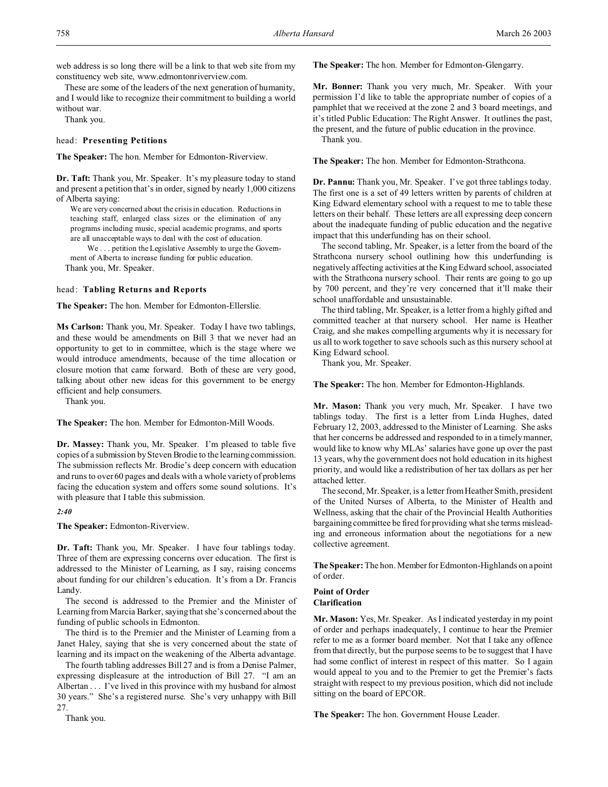web address is so long there will be a link to that web site from my constituency web site, www.edmontonriverview.com.

These are some of the leaders of the next generation of humanity, and I would like to recognize their commitment to building a world without war.

Thank you.

### head: **Presenting Petitions**

**The Speaker:** The hon. Member for Edmonton-Riverview.

**Dr. Taft:** Thank you, Mr. Speaker. It's my pleasure today to stand and present a petition that's in order, signed by nearly 1,000 citizens of Alberta saying:

We are very concerned about the crisis in education. Reductions in teaching staff, enlarged class sizes or the elimination of any programs including music, special academic programs, and sports are all unacceptable ways to deal with the cost of education.

We . . . petition the Legislative Assembly to urge the Government of Alberta to increase funding for public education. Thank you, Mr. Speaker.

## head: **Tabling Returns and Reports**

**The Speaker:** The hon. Member for Edmonton-Ellerslie.

**Ms Carlson:** Thank you, Mr. Speaker. Today I have two tablings, and these would be amendments on Bill 3 that we never had an opportunity to get to in committee, which is the stage where we would introduce amendments, because of the time allocation or closure motion that came forward. Both of these are very good, talking about other new ideas for this government to be energy efficient and help consumers.

Thank you.

**The Speaker:** The hon. Member for Edmonton-Mill Woods.

**Dr. Massey:** Thank you, Mr. Speaker. I'm pleased to table five copies of a submission by Steven Brodie to the learning commission. The submission reflects Mr. Brodie's deep concern with education and runs to over 60 pages and deals with a whole variety of problems facing the education system and offers some sound solutions. It's with pleasure that I table this submission.

*2:40*

**The Speaker:** Edmonton-Riverview.

**Dr. Taft:** Thank you, Mr. Speaker. I have four tablings today. Three of them are expressing concerns over education. The first is addressed to the Minister of Learning, as I say, raising concerns about funding for our children's education. It's from a Dr. Francis Landy.

The second is addressed to the Premier and the Minister of Learning from Marcia Barker, saying that she's concerned about the funding of public schools in Edmonton.

The third is to the Premier and the Minister of Learning from a Janet Haley, saying that she is very concerned about the state of learning and its impact on the weakening of the Alberta advantage.

The fourth tabling addresses Bill 27 and is from a Denise Palmer, expressing displeasure at the introduction of Bill 27. "I am an Albertan . . . I've lived in this province with my husband for almost 30 years." She's a registered nurse. She's very unhappy with Bill 27.

Thank you.

**The Speaker:** The hon. Member for Edmonton-Glengarry.

**Mr. Bonner:** Thank you very much, Mr. Speaker. With your permission I'd like to table the appropriate number of copies of a pamphlet that we received at the zone 2 and 3 board meetings, and it's titled Public Education: The Right Answer. It outlines the past, the present, and the future of public education in the province. Thank you.

**The Speaker:** The hon. Member for Edmonton-Strathcona.

**Dr. Pannu:** Thank you, Mr. Speaker. I've got three tablings today. The first one is a set of 49 letters written by parents of children at King Edward elementary school with a request to me to table these letters on their behalf. These letters are all expressing deep concern about the inadequate funding of public education and the negative impact that this underfunding has on their school.

The second tabling, Mr. Speaker, is a letter from the board of the Strathcona nursery school outlining how this underfunding is negatively affecting activities at the King Edward school, associated with the Strathcona nursery school. Their rents are going to go up by 700 percent, and they're very concerned that it'll make their school unaffordable and unsustainable.

The third tabling, Mr. Speaker, is a letter from a highly gifted and committed teacher at that nursery school. Her name is Heather Craig, and she makes compelling arguments why it is necessary for us all to work together to save schools such as this nursery school at King Edward school.

Thank you, Mr. Speaker.

**The Speaker:** The hon. Member for Edmonton-Highlands.

**Mr. Mason:** Thank you very much, Mr. Speaker. I have two tablings today. The first is a letter from Linda Hughes, dated February 12, 2003, addressed to the Minister of Learning. She asks that her concerns be addressed and responded to in a timely manner, would like to know why MLAs' salaries have gone up over the past 13 years, why the government does not hold education in its highest priority, and would like a redistribution of her tax dollars as per her attached letter.

The second, Mr. Speaker, is a letter from Heather Smith, president of the United Nurses of Alberta, to the Minister of Health and Wellness, asking that the chair of the Provincial Health Authorities bargaining committee be fired for providing what she terms misleading and erroneous information about the negotiations for a new collective agreement.

**The Speaker:** The hon. Memberfor Edmonton-Highlands on a point of order.

**Point of Order Clarification**

**Mr. Mason:** Yes, Mr. Speaker. As I indicated yesterday in my point of order and perhaps inadequately, I continue to hear the Premier refer to me as a former board member. Not that I take any offence from that directly, but the purpose seems to be to suggest that I have had some conflict of interest in respect of this matter. So I again would appeal to you and to the Premier to get the Premier's facts straight with respect to my previous position, which did not include sitting on the board of EPCOR.

**The Speaker:** The hon. Government House Leader.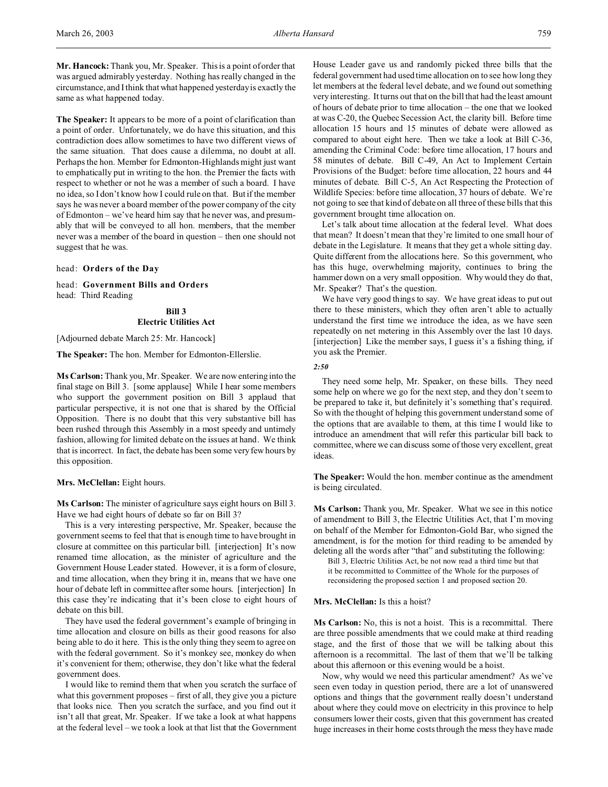**The Speaker:** It appears to be more of a point of clarification than a point of order. Unfortunately, we do have this situation, and this contradiction does allow sometimes to have two different views of the same situation. That does cause a dilemma, no doubt at all. Perhaps the hon. Member for Edmonton-Highlands might just want to emphatically put in writing to the hon. the Premier the facts with respect to whether or not he was a member of such a board. I have no idea, so I don't know how I could rule on that. But if the member says he was never a board member of the power company of the city of Edmonton – we've heard him say that he never was, and presumably that will be conveyed to all hon. members, that the member never was a member of the board in question – then one should not suggest that he was.

head: **Orders of the Day**

head: **Government Bills and Orders** head: Third Reading

## **Bill 3 Electric Utilities Act**

[Adjourned debate March 25: Mr. Hancock]

**The Speaker:** The hon. Member for Edmonton-Ellerslie.

**Ms Carlson:** Thank you, Mr. Speaker. We are now entering into the final stage on Bill 3. [some applause] While I hear some members who support the government position on Bill 3 applaud that particular perspective, it is not one that is shared by the Official Opposition. There is no doubt that this very substantive bill has been rushed through this Assembly in a most speedy and untimely fashion, allowing for limited debate on the issues at hand. We think that is incorrect. In fact, the debate has been some very few hours by this opposition.

**Mrs. McClellan:** Eight hours.

**Ms Carlson:** The minister of agriculture says eight hours on Bill 3. Have we had eight hours of debate so far on Bill 3?

This is a very interesting perspective, Mr. Speaker, because the government seems to feel that that is enough time to have brought in closure at committee on this particular bill. [interjection] It's now renamed time allocation, as the minister of agriculture and the Government House Leader stated. However, it is a form of closure, and time allocation, when they bring it in, means that we have one hour of debate left in committee after some hours. [interjection] In this case they're indicating that it's been close to eight hours of debate on this bill.

They have used the federal government's example of bringing in time allocation and closure on bills as their good reasons for also being able to do it here. This is the only thing they seem to agree on with the federal government. So it's monkey see, monkey do when it's convenient for them; otherwise, they don't like what the federal government does.

I would like to remind them that when you scratch the surface of what this government proposes – first of all, they give you a picture that looks nice. Then you scratch the surface, and you find out it isn't all that great, Mr. Speaker. If we take a look at what happens at the federal level – we took a look at that list that the Government House Leader gave us and randomly picked three bills that the federal government had used time allocation on to see how long they let members at the federal level debate, and we found out something very interesting. It turns out that on the bill that had the least amount of hours of debate prior to time allocation – the one that we looked at was C-20, the Quebec Secession Act, the clarity bill. Before time allocation 15 hours and 15 minutes of debate were allowed as compared to about eight here. Then we take a look at Bill C-36, amending the Criminal Code: before time allocation, 17 hours and 58 minutes of debate. Bill C-49, An Act to Implement Certain Provisions of the Budget: before time allocation, 22 hours and 44 minutes of debate. Bill C-5, An Act Respecting the Protection of Wildlife Species: before time allocation, 37 hours of debate. We're not going to see that kind of debate on all three of these bills that this government brought time allocation on.

Let's talk about time allocation at the federal level. What does that mean? It doesn't mean that they're limited to one small hour of debate in the Legislature. It means that they get a whole sitting day. Quite different from the allocations here. So this government, who has this huge, overwhelming majority, continues to bring the hammer down on a very small opposition. Why would they do that, Mr. Speaker? That's the question.

We have very good things to say. We have great ideas to put out there to these ministers, which they often aren't able to actually understand the first time we introduce the idea, as we have seen repeatedly on net metering in this Assembly over the last 10 days. [interjection] Like the member says, I guess it's a fishing thing, if you ask the Premier.

*2:50*

They need some help, Mr. Speaker, on these bills. They need some help on where we go for the next step, and they don't seem to be prepared to take it, but definitely it's something that's required. So with the thought of helping this government understand some of the options that are available to them, at this time I would like to introduce an amendment that will refer this particular bill back to committee, where we can discuss some of those very excellent, great ideas.

**The Speaker:** Would the hon. member continue as the amendment is being circulated.

**Ms Carlson:** Thank you, Mr. Speaker. What we see in this notice of amendment to Bill 3, the Electric Utilities Act, that I'm moving on behalf of the Member for Edmonton-Gold Bar, who signed the amendment, is for the motion for third reading to be amended by deleting all the words after "that" and substituting the following:

Bill 3, Electric Utilities Act, be not now read a third time but that it be recommitted to Committee of the Whole for the purposes of reconsidering the proposed section 1 and proposed section 20.

## **Mrs. McClellan:** Is this a hoist?

**Ms Carlson:** No, this is not a hoist. This is a recommittal. There are three possible amendments that we could make at third reading stage, and the first of those that we will be talking about this afternoon is a recommittal. The last of them that we'll be talking about this afternoon or this evening would be a hoist.

Now, why would we need this particular amendment? As we've seen even today in question period, there are a lot of unanswered options and things that the government really doesn't understand about where they could move on electricity in this province to help consumers lower their costs, given that this government has created huge increases in their home costs through the mess they have made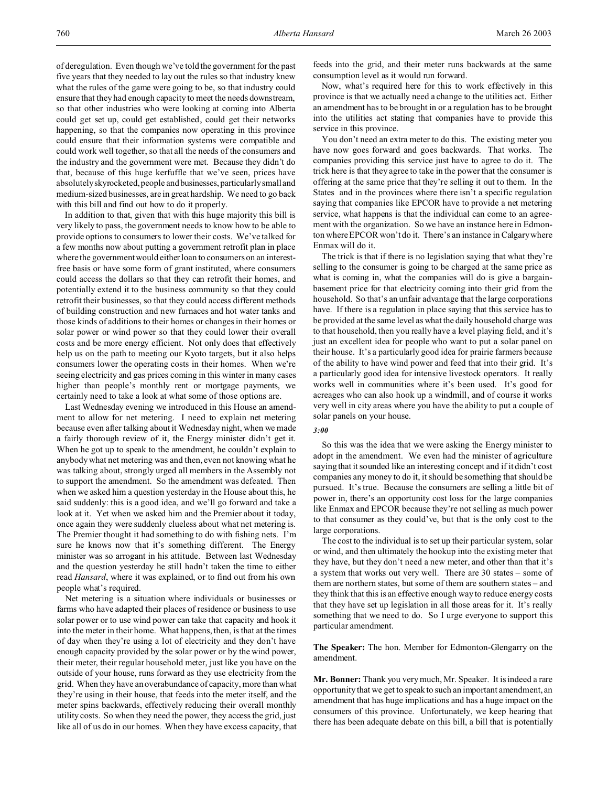of deregulation. Even though we've told the government for the past five years that they needed to lay out the rules so that industry knew what the rules of the game were going to be, so that industry could ensure that they had enough capacity to meet the needs downstream, so that other industries who were looking at coming into Alberta could get set up, could get established, could get their networks happening, so that the companies now operating in this province could ensure that their information systems were compatible and could work well together, so that all the needs of the consumers and the industry and the government were met. Because they didn't do that, because of this huge kerfuffle that we've seen, prices have absolutely skyrocketed, people and businesses, particularly small and medium-sized businesses, are in great hardship. We need to go back with this bill and find out how to do it properly.

In addition to that, given that with this huge majority this bill is very likely to pass, the government needs to know how to be able to provide options to consumers to lower their costs. We've talked for a few months now about putting a government retrofit plan in place where the government would either loan to consumers on an interestfree basis or have some form of grant instituted, where consumers could access the dollars so that they can retrofit their homes, and potentially extend it to the business community so that they could retrofit their businesses, so that they could access different methods of building construction and new furnaces and hot water tanks and those kinds of additions to their homes or changes in their homes or solar power or wind power so that they could lower their overall costs and be more energy efficient. Not only does that effectively help us on the path to meeting our Kyoto targets, but it also helps consumers lower the operating costs in their homes. When we're seeing electricity and gas prices coming in this winter in many cases higher than people's monthly rent or mortgage payments, we certainly need to take a look at what some of those options are.

Last Wednesday evening we introduced in this House an amendment to allow for net metering. I need to explain net metering because even after talking about it Wednesday night, when we made a fairly thorough review of it, the Energy minister didn't get it. When he got up to speak to the amendment, he couldn't explain to anybody what net metering was and then, even not knowing what he was talking about, strongly urged all members in the Assembly not to support the amendment. So the amendment was defeated. Then when we asked him a question yesterday in the House about this, he said suddenly: this is a good idea, and we'll go forward and take a look at it. Yet when we asked him and the Premier about it today, once again they were suddenly clueless about what net metering is. The Premier thought it had something to do with fishing nets. I'm sure he knows now that it's something different. The Energy minister was so arrogant in his attitude. Between last Wednesday and the question yesterday he still hadn't taken the time to either read *Hansard*, where it was explained, or to find out from his own people what's required.

Net metering is a situation where individuals or businesses or farms who have adapted their places of residence or business to use solar power or to use wind power can take that capacity and hook it into the meter in their home. What happens, then, is that at the times of day when they're using a lot of electricity and they don't have enough capacity provided by the solar power or by the wind power, their meter, their regular household meter, just like you have on the outside of your house, runs forward as they use electricity from the grid. When they have an overabundance of capacity, more than what they're using in their house, that feeds into the meter itself, and the meter spins backwards, effectively reducing their overall monthly utility costs. So when they need the power, they access the grid, just like all of us do in our homes. When they have excess capacity, that

feeds into the grid, and their meter runs backwards at the same consumption level as it would run forward.

Now, what's required here for this to work effectively in this province is that we actually need a change to the utilities act. Either an amendment has to be brought in or a regulation has to be brought into the utilities act stating that companies have to provide this service in this province.

You don't need an extra meter to do this. The existing meter you have now goes forward and goes backwards. That works. The companies providing this service just have to agree to do it. The trick here is that they agree to take in the power that the consumer is offering at the same price that they're selling it out to them. In the States and in the provinces where there isn't a specific regulation saying that companies like EPCOR have to provide a net metering service, what happens is that the individual can come to an agreement with the organization. So we have an instance here in Edmonton where EPCOR won't do it. There's an instance in Calgary where Enmax will do it.

The trick is that if there is no legislation saying that what they're selling to the consumer is going to be charged at the same price as what is coming in, what the companies will do is give a bargainbasement price for that electricity coming into their grid from the household. So that's an unfair advantage that the large corporations have. If there is a regulation in place saying that this service has to be provided at the same level as what the daily household charge was to that household, then you really have a level playing field, and it's just an excellent idea for people who want to put a solar panel on their house. It's a particularly good idea for prairie farmers because of the ability to have wind power and feed that into their grid. It's a particularly good idea for intensive livestock operators. It really works well in communities where it's been used. It's good for acreages who can also hook up a windmill, and of course it works very well in city areas where you have the ability to put a couple of solar panels on your house.

### *3:00*

So this was the idea that we were asking the Energy minister to adopt in the amendment. We even had the minister of agriculture saying that it sounded like an interesting concept and if it didn't cost companies any money to do it, it should be something that should be pursued. It's true. Because the consumers are selling a little bit of power in, there's an opportunity cost loss for the large companies like Enmax and EPCOR because they're not selling as much power to that consumer as they could've, but that is the only cost to the large corporations.

The cost to the individual is to set up their particular system, solar or wind, and then ultimately the hookup into the existing meter that they have, but they don't need a new meter, and other than that it's a system that works out very well. There are 30 states – some of them are northern states, but some of them are southern states – and they think that this is an effective enough way to reduce energy costs that they have set up legislation in all those areas for it. It's really something that we need to do. So I urge everyone to support this particular amendment.

**The Speaker:** The hon. Member for Edmonton-Glengarry on the amendment.

**Mr. Bonner:** Thank you very much, Mr. Speaker. It is indeed a rare opportunity that we get to speak to such an important amendment, an amendment that has huge implications and has a huge impact on the consumers of this province. Unfortunately, we keep hearing that there has been adequate debate on this bill, a bill that is potentially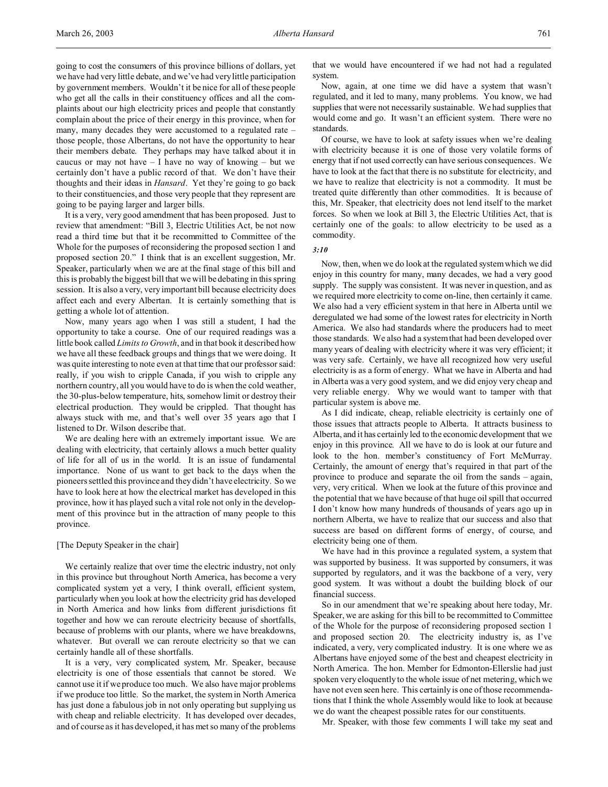going to cost the consumers of this province billions of dollars, yet we have had very little debate, and we've had very little participation by government members. Wouldn't it be nice for all of these people who get all the calls in their constituency offices and all the complaints about our high electricity prices and people that constantly complain about the price of their energy in this province, when for many, many decades they were accustomed to a regulated rate – those people, those Albertans, do not have the opportunity to hear their members debate. They perhaps may have talked about it in caucus or may not have  $-1$  have no way of knowing  $-$  but we certainly don't have a public record of that. We don't have their thoughts and their ideas in *Hansard*. Yet they're going to go back to their constituencies, and those very people that they represent are going to be paying larger and larger bills.

It is a very, very good amendment that has been proposed. Just to review that amendment: "Bill 3, Electric Utilities Act, be not now read a third time but that it be recommitted to Committee of the Whole for the purposes of reconsidering the proposed section 1 and proposed section 20." I think that is an excellent suggestion, Mr. Speaker, particularly when we are at the final stage of this bill and this is probably the biggest bill that we will be debating in this spring session. It is also a very, very important bill because electricity does affect each and every Albertan. It is certainly something that is getting a whole lot of attention.

Now, many years ago when I was still a student, I had the opportunity to take a course. One of our required readings was a little book called *Limits to Growth*, and in that book it described how we have all these feedback groups and things that we were doing. It was quite interesting to note even at that time that our professor said: really, if you wish to cripple Canada, if you wish to cripple any northern country, all you would have to do is when the cold weather, the 30-plus-below temperature, hits, somehow limit or destroy their electrical production. They would be crippled. That thought has always stuck with me, and that's well over 35 years ago that I listened to Dr. Wilson describe that.

We are dealing here with an extremely important issue. We are dealing with electricity, that certainly allows a much better quality of life for all of us in the world. It is an issue of fundamental importance. None of us want to get back to the days when the pioneers settled this province and they didn't have electricity. So we have to look here at how the electrical market has developed in this province, how it has played such a vital role not only in the development of this province but in the attraction of many people to this province.

## [The Deputy Speaker in the chair]

We certainly realize that over time the electric industry, not only in this province but throughout North America, has become a very complicated system yet a very, I think overall, efficient system, particularly when you look at how the electricity grid has developed in North America and how links from different jurisdictions fit together and how we can reroute electricity because of shortfalls, because of problems with our plants, where we have breakdowns, whatever. But overall we can reroute electricity so that we can certainly handle all of these shortfalls.

It is a very, very complicated system, Mr. Speaker, because electricity is one of those essentials that cannot be stored. We cannot use it if we produce too much. We also have major problems if we produce too little. So the market, the system in North America has just done a fabulous job in not only operating but supplying us with cheap and reliable electricity. It has developed over decades, and of course as it has developed, it has met so many of the problems

that we would have encountered if we had not had a regulated system.

Now, again, at one time we did have a system that wasn't regulated, and it led to many, many problems. You know, we had supplies that were not necessarily sustainable. We had supplies that would come and go. It wasn't an efficient system. There were no standards.

Of course, we have to look at safety issues when we're dealing with electricity because it is one of those very volatile forms of energy that if not used correctly can have serious consequences. We have to look at the fact that there is no substitute for electricity, and we have to realize that electricity is not a commodity. It must be treated quite differently than other commodities. It is because of this, Mr. Speaker, that electricity does not lend itself to the market forces. So when we look at Bill 3, the Electric Utilities Act, that is certainly one of the goals: to allow electricity to be used as a commodity.

## *3:10*

Now, then, when we do look at the regulated system which we did enjoy in this country for many, many decades, we had a very good supply. The supply was consistent. It was never in question, and as we required more electricity to come on-line, then certainly it came. We also had a very efficient system in that here in Alberta until we deregulated we had some of the lowest rates for electricity in North America. We also had standards where the producers had to meet those standards. We also had a system that had been developed over many years of dealing with electricity where it was very efficient; it was very safe. Certainly, we have all recognized how very useful electricity is as a form of energy. What we have in Alberta and had in Alberta was a very good system, and we did enjoy very cheap and very reliable energy. Why we would want to tamper with that particular system is above me.

As I did indicate, cheap, reliable electricity is certainly one of those issues that attracts people to Alberta. It attracts business to Alberta, and it has certainly led to the economic development that we enjoy in this province. All we have to do is look at our future and look to the hon. member's constituency of Fort McMurray. Certainly, the amount of energy that's required in that part of the province to produce and separate the oil from the sands – again, very, very critical. When we look at the future of this province and the potential that we have because of that huge oil spill that occurred I don't know how many hundreds of thousands of years ago up in northern Alberta, we have to realize that our success and also that success are based on different forms of energy, of course, and electricity being one of them.

We have had in this province a regulated system, a system that was supported by business. It was supported by consumers, it was supported by regulators, and it was the backbone of a very, very good system. It was without a doubt the building block of our financial success.

So in our amendment that we're speaking about here today, Mr. Speaker, we are asking for this bill to be recommitted to Committee of the Whole for the purpose of reconsidering proposed section 1 and proposed section 20. The electricity industry is, as I've indicated, a very, very complicated industry. It is one where we as Albertans have enjoyed some of the best and cheapest electricity in North America. The hon. Member for Edmonton-Ellerslie had just spoken very eloquently to the whole issue of net metering, which we have not even seen here. This certainly is one of those recommendations that I think the whole Assembly would like to look at because we do want the cheapest possible rates for our constituents.

Mr. Speaker, with those few comments I will take my seat and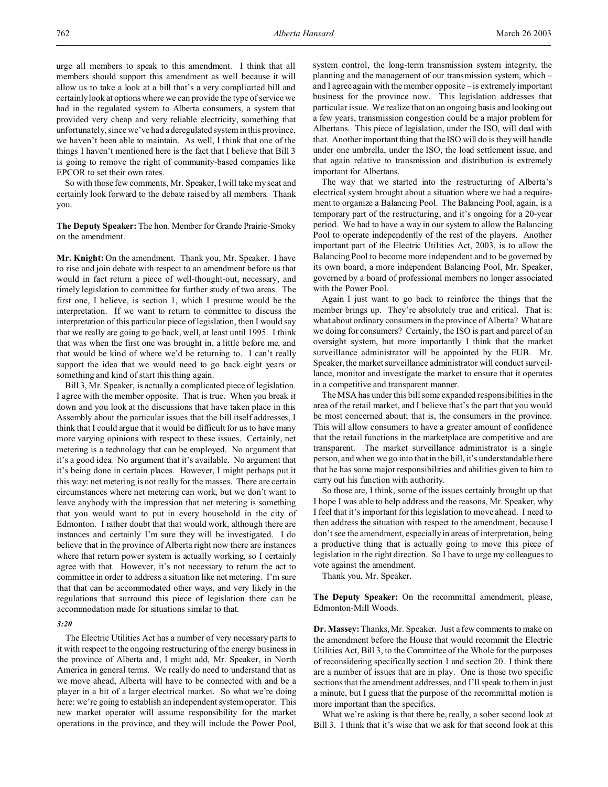urge all members to speak to this amendment. I think that all members should support this amendment as well because it will allow us to take a look at a bill that's a very complicated bill and certainly look at options where we can provide the type of service we had in the regulated system to Alberta consumers, a system that provided very cheap and very reliable electricity, something that unfortunately, since we've had a deregulated system in this province, we haven't been able to maintain. As well, I think that one of the things I haven't mentioned here is the fact that I believe that Bill 3 is going to remove the right of community-based companies like EPCOR to set their own rates.

So with those few comments, Mr. Speaker, I will take my seat and certainly look forward to the debate raised by all members. Thank you.

**The Deputy Speaker:** The hon. Member for Grande Prairie-Smoky on the amendment.

**Mr. Knight:** On the amendment. Thank you, Mr. Speaker. I have to rise and join debate with respect to an amendment before us that would in fact return a piece of well-thought-out, necessary, and timely legislation to committee for further study of two areas. The first one, I believe, is section 1, which I presume would be the interpretation. If we want to return to committee to discuss the interpretation of this particular piece of legislation, then I would say that we really are going to go back, well, at least until 1995. I think that was when the first one was brought in, a little before me, and that would be kind of where we'd be returning to. I can't really support the idea that we would need to go back eight years or something and kind of start this thing again.

Bill 3, Mr. Speaker, is actually a complicated piece of legislation. I agree with the member opposite. That is true. When you break it down and you look at the discussions that have taken place in this Assembly about the particular issues that the bill itself addresses, I think that I could argue that it would be difficult for us to have many more varying opinions with respect to these issues. Certainly, net metering is a technology that can be employed. No argument that it's a good idea. No argument that it's available. No argument that it's being done in certain places. However, I might perhaps put it this way: net metering is not really for the masses. There are certain circumstances where net metering can work, but we don't want to leave anybody with the impression that net metering is something that you would want to put in every household in the city of Edmonton. I rather doubt that that would work, although there are instances and certainly I'm sure they will be investigated. I do believe that in the province of Alberta right now there are instances where that return power system is actually working, so I certainly agree with that. However, it's not necessary to return the act to committee in order to address a situation like net metering. I'm sure that that can be accommodated other ways, and very likely in the regulations that surround this piece of legislation there can be accommodation made for situations similar to that.

### *3:20*

The Electric Utilities Act has a number of very necessary parts to it with respect to the ongoing restructuring of the energy business in the province of Alberta and, I might add, Mr. Speaker, in North America in general terms. We really do need to understand that as we move ahead, Alberta will have to be connected with and be a player in a bit of a larger electrical market. So what we're doing here: we're going to establish an independent system operator. This new market operator will assume responsibility for the market operations in the province, and they will include the Power Pool,

system control, the long-term transmission system integrity, the planning and the management of our transmission system, which – and I agree again with the member opposite – is extremely important business for the province now. This legislation addresses that particular issue. We realize that on an ongoing basis and looking out a few years, transmission congestion could be a major problem for Albertans. This piece of legislation, under the ISO, will deal with that. Another important thing that the ISO will do is they will handle under one umbrella, under the ISO, the load settlement issue, and that again relative to transmission and distribution is extremely important for Albertans.

The way that we started into the restructuring of Alberta's electrical system brought about a situation where we had a requirement to organize a Balancing Pool. The Balancing Pool, again, is a temporary part of the restructuring, and it's ongoing for a 20-year period. We had to have a way in our system to allow the Balancing Pool to operate independently of the rest of the players. Another important part of the Electric Utilities Act, 2003, is to allow the Balancing Pool to become more independent and to be governed by its own board, a more independent Balancing Pool, Mr. Speaker, governed by a board of professional members no longer associated with the Power Pool.

Again I just want to go back to reinforce the things that the member brings up. They're absolutely true and critical. That is: what about ordinary consumers in the province of Alberta? What are we doing for consumers? Certainly, the ISO is part and parcel of an oversight system, but more importantly I think that the market surveillance administrator will be appointed by the EUB. Mr. Speaker, the market surveillance administrator will conduct surveillance, monitor and investigate the market to ensure that it operates in a competitive and transparent manner.

The MSA has under this bill some expanded responsibilities in the area of the retail market, and I believe that's the part that you would be most concerned about; that is, the consumers in the province. This will allow consumers to have a greater amount of confidence that the retail functions in the marketplace are competitive and are transparent. The market surveillance administrator is a single person, and when we go into that in the bill, it's understandable there that he has some major responsibilities and abilities given to him to carry out his function with authority.

So those are, I think, some of the issues certainly brought up that I hope I was able to help address and the reasons, Mr. Speaker, why I feel that it's important for this legislation to move ahead. I need to then address the situation with respect to the amendment, because I don't see the amendment, especially in areas of interpretation, being a productive thing that is actually going to move this piece of legislation in the right direction. So I have to urge my colleagues to vote against the amendment.

Thank you, Mr. Speaker.

**The Deputy Speaker:** On the recommittal amendment, please, Edmonton-Mill Woods.

**Dr. Massey:** Thanks, Mr. Speaker. Just a few comments to make on the amendment before the House that would recommit the Electric Utilities Act, Bill 3, to the Committee of the Whole for the purposes of reconsidering specifically section 1 and section 20. I think there are a number of issues that are in play. One is those two specific sections that the amendment addresses, and I'll speak to them in just a minute, but I guess that the purpose of the recommittal motion is more important than the specifics.

What we're asking is that there be, really, a sober second look at Bill 3. I think that it's wise that we ask for that second look at this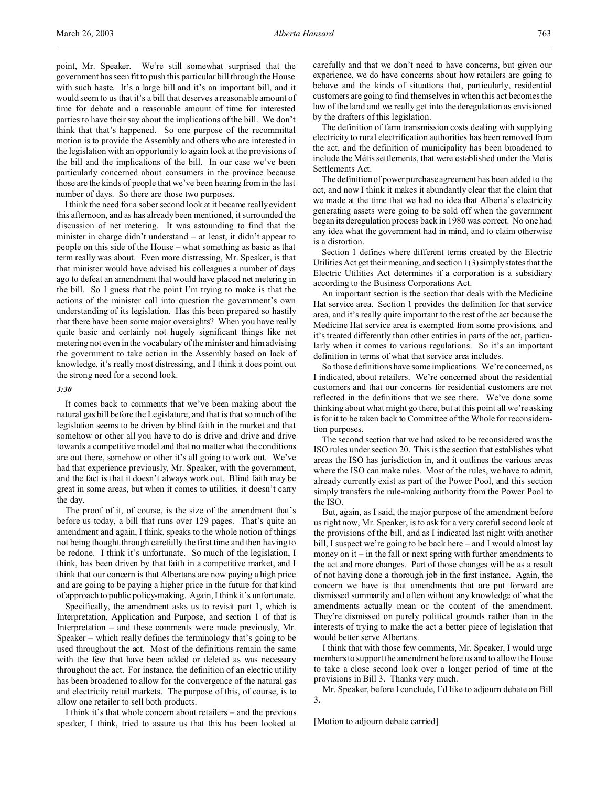point, Mr. Speaker. We're still somewhat surprised that the government has seen fit to push this particular bill through the House with such haste. It's a large bill and it's an important bill, and it would seem to us that it's a bill that deserves a reasonable amount of time for debate and a reasonable amount of time for interested parties to have their say about the implications of the bill. We don't think that that's happened. So one purpose of the recommittal motion is to provide the Assembly and others who are interested in the legislation with an opportunity to again look at the provisions of the bill and the implications of the bill. In our case we've been particularly concerned about consumers in the province because those are the kinds of people that we've been hearing from in the last number of days. So there are those two purposes.

I think the need for a sober second look at it became really evident this afternoon, and as has already been mentioned, it surrounded the discussion of net metering. It was astounding to find that the minister in charge didn't understand – at least, it didn't appear to people on this side of the House – what something as basic as that term really was about. Even more distressing, Mr. Speaker, is that that minister would have advised his colleagues a number of days ago to defeat an amendment that would have placed net metering in the bill. So I guess that the point I'm trying to make is that the actions of the minister call into question the government's own understanding of its legislation. Has this been prepared so hastily that there have been some major oversights? When you have really quite basic and certainly not hugely significant things like net metering not even in the vocabulary of the minister and him advising the government to take action in the Assembly based on lack of knowledge, it's really most distressing, and I think it does point out the strong need for a second look.

#### *3:30*

It comes back to comments that we've been making about the natural gas bill before the Legislature, and that is that so much of the legislation seems to be driven by blind faith in the market and that somehow or other all you have to do is drive and drive and drive towards a competitive model and that no matter what the conditions are out there, somehow or other it's all going to work out. We've had that experience previously, Mr. Speaker, with the government, and the fact is that it doesn't always work out. Blind faith may be great in some areas, but when it comes to utilities, it doesn't carry the day.

The proof of it, of course, is the size of the amendment that's before us today, a bill that runs over 129 pages. That's quite an amendment and again, I think, speaks to the whole notion of things not being thought through carefully the first time and then having to be redone. I think it's unfortunate. So much of the legislation, I think, has been driven by that faith in a competitive market, and I think that our concern is that Albertans are now paying a high price and are going to be paying a higher price in the future for that kind of approach to public policy-making. Again, I think it's unfortunate.

Specifically, the amendment asks us to revisit part 1, which is Interpretation, Application and Purpose, and section 1 of that is Interpretation – and these comments were made previously, Mr. Speaker – which really defines the terminology that's going to be used throughout the act. Most of the definitions remain the same with the few that have been added or deleted as was necessary throughout the act. For instance, the definition of an electric utility has been broadened to allow for the convergence of the natural gas and electricity retail markets. The purpose of this, of course, is to allow one retailer to sell both products.

I think it's that whole concern about retailers – and the previous speaker, I think, tried to assure us that this has been looked at carefully and that we don't need to have concerns, but given our experience, we do have concerns about how retailers are going to behave and the kinds of situations that, particularly, residential customers are going to find themselves in when this act becomes the law of the land and we really get into the deregulation as envisioned by the drafters of this legislation.

The definition of farm transmission costs dealing with supplying electricity to rural electrification authorities has been removed from the act, and the definition of municipality has been broadened to include the Métis settlements, that were established under the Metis Settlements Act.

The definition of power purchase agreement has been added to the act, and now I think it makes it abundantly clear that the claim that we made at the time that we had no idea that Alberta's electricity generating assets were going to be sold off when the government began its deregulation process back in 1980 was correct. No one had any idea what the government had in mind, and to claim otherwise is a distortion.

Section 1 defines where different terms created by the Electric Utilities Act get their meaning, and section 1(3) simply states that the Electric Utilities Act determines if a corporation is a subsidiary according to the Business Corporations Act.

An important section is the section that deals with the Medicine Hat service area. Section 1 provides the definition for that service area, and it's really quite important to the rest of the act because the Medicine Hat service area is exempted from some provisions, and it's treated differently than other entities in parts of the act, particularly when it comes to various regulations. So it's an important definition in terms of what that service area includes.

So those definitions have some implications. We're concerned, as I indicated, about retailers. We're concerned about the residential customers and that our concerns for residential customers are not reflected in the definitions that we see there. We've done some thinking about what might go there, but at this point all we're asking is for it to be taken back to Committee of the Whole for reconsideration purposes.

The second section that we had asked to be reconsidered was the ISO rules under section 20. This is the section that establishes what areas the ISO has jurisdiction in, and it outlines the various areas where the ISO can make rules. Most of the rules, we have to admit, already currently exist as part of the Power Pool, and this section simply transfers the rule-making authority from the Power Pool to the ISO.

But, again, as I said, the major purpose of the amendment before us right now, Mr. Speaker, is to ask for a very careful second look at the provisions of the bill, and as I indicated last night with another bill, I suspect we're going to be back here – and I would almost lay money on  $it$  – in the fall or next spring with further amendments to the act and more changes. Part of those changes will be as a result of not having done a thorough job in the first instance. Again, the concern we have is that amendments that are put forward are dismissed summarily and often without any knowledge of what the amendments actually mean or the content of the amendment. They're dismissed on purely political grounds rather than in the interests of trying to make the act a better piece of legislation that would better serve Albertans.

I think that with those few comments, Mr. Speaker, I would urge members to support the amendment before us and to allow the House to take a close second look over a longer period of time at the provisions in Bill 3. Thanks very much.

Mr. Speaker, before I conclude, I'd like to adjourn debate on Bill 3.

[Motion to adjourn debate carried]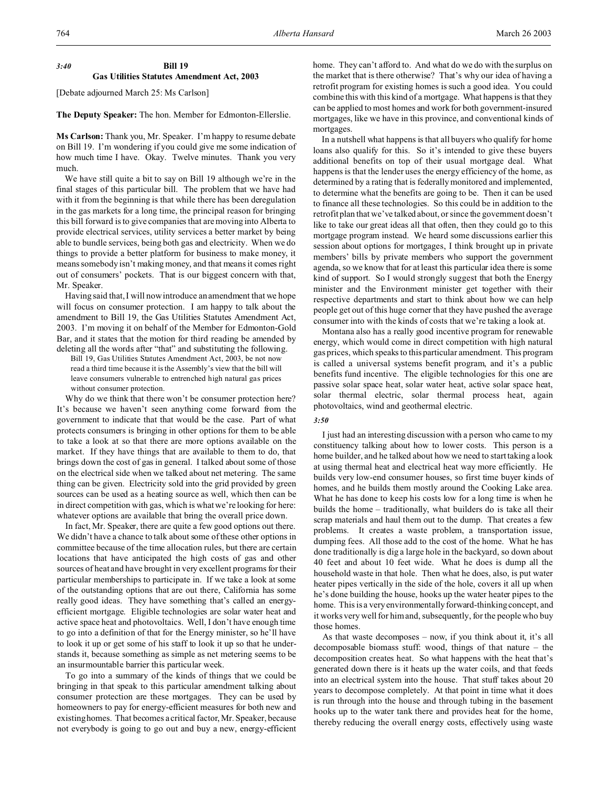## *3:40* **Bill 19 Gas Utilities Statutes Amendment Act, 2003**

[Debate adjourned March 25: Ms Carlson]

**The Deputy Speaker:** The hon. Member for Edmonton-Ellerslie.

**Ms Carlson:** Thank you, Mr. Speaker. I'm happy to resume debate on Bill 19. I'm wondering if you could give me some indication of how much time I have. Okay. Twelve minutes. Thank you very much.

We have still quite a bit to say on Bill 19 although we're in the final stages of this particular bill. The problem that we have had with it from the beginning is that while there has been deregulation in the gas markets for a long time, the principal reason for bringing this bill forward is to give companies that are moving into Alberta to provide electrical services, utility services a better market by being able to bundle services, being both gas and electricity. When we do things to provide a better platform for business to make money, it means somebody isn't making money, and that means it comes right out of consumers' pockets. That is our biggest concern with that, Mr. Speaker.

Having said that, I will now introduce an amendment that we hope will focus on consumer protection. I am happy to talk about the amendment to Bill 19, the Gas Utilities Statutes Amendment Act, 2003. I'm moving it on behalf of the Member for Edmonton-Gold Bar, and it states that the motion for third reading be amended by deleting all the words after "that" and substituting the following.

Bill 19, Gas Utilities Statutes Amendment Act, 2003, be not now read a third time because it is the Assembly's view that the bill will leave consumers vulnerable to entrenched high natural gas prices without consumer protection.

Why do we think that there won't be consumer protection here? It's because we haven't seen anything come forward from the government to indicate that that would be the case. Part of what protects consumers is bringing in other options for them to be able to take a look at so that there are more options available on the market. If they have things that are available to them to do, that brings down the cost of gas in general. I talked about some of those on the electrical side when we talked about net metering. The same thing can be given. Electricity sold into the grid provided by green sources can be used as a heating source as well, which then can be in direct competition with gas, which is what we're looking for here: whatever options are available that bring the overall price down.

In fact, Mr. Speaker, there are quite a few good options out there. We didn't have a chance to talk about some of these other options in committee because of the time allocation rules, but there are certain locations that have anticipated the high costs of gas and other sources of heat and have brought in very excellent programs for their particular memberships to participate in. If we take a look at some of the outstanding options that are out there, California has some really good ideas. They have something that's called an energyefficient mortgage. Eligible technologies are solar water heat and active space heat and photovoltaics. Well, I don't have enough time to go into a definition of that for the Energy minister, so he'll have to look it up or get some of his staff to look it up so that he understands it, because something as simple as net metering seems to be an insurmountable barrier this particular week.

To go into a summary of the kinds of things that we could be bringing in that speak to this particular amendment talking about consumer protection are these mortgages. They can be used by homeowners to pay for energy-efficient measures for both new and existing homes. That becomes a critical factor, Mr. Speaker, because not everybody is going to go out and buy a new, energy-efficient

home. They can't afford to. And what do we do with the surplus on the market that is there otherwise? That's why our idea of having a retrofit program for existing homes is such a good idea. You could combine this with this kind of a mortgage. What happens is that they can be applied to most homes and work for both government-insured mortgages, like we have in this province, and conventional kinds of mortgages.

In a nutshell what happens is that all buyers who qualify for home loans also qualify for this. So it's intended to give these buyers additional benefits on top of their usual mortgage deal. What happens is that the lender uses the energy efficiency of the home, as determined by a rating that is federally monitored and implemented, to determine what the benefits are going to be. Then it can be used to finance all these technologies. So this could be in addition to the retrofit plan that we've talked about, or since the government doesn't like to take our great ideas all that often, then they could go to this mortgage program instead. We heard some discussions earlier this session about options for mortgages, I think brought up in private members' bills by private members who support the government agenda, so we know that for at least this particular idea there is some kind of support. So I would strongly suggest that both the Energy minister and the Environment minister get together with their respective departments and start to think about how we can help people get out of this huge corner that they have pushed the average consumer into with the kinds of costs that we're taking a look at.

Montana also has a really good incentive program for renewable energy, which would come in direct competition with high natural gas prices, which speaks to this particular amendment. This program is called a universal systems benefit program, and it's a public benefits fund incentive. The eligible technologies for this one are passive solar space heat, solar water heat, active solar space heat, solar thermal electric, solar thermal process heat, again photovoltaics, wind and geothermal electric.

## *3:50*

I just had an interesting discussion with a person who came to my constituency talking about how to lower costs. This person is a home builder, and he talked about how we need to start taking a look at using thermal heat and electrical heat way more efficiently. He builds very low-end consumer houses, so first time buyer kinds of homes, and he builds them mostly around the Cooking Lake area. What he has done to keep his costs low for a long time is when he builds the home – traditionally, what builders do is take all their scrap materials and haul them out to the dump. That creates a few problems. It creates a waste problem, a transportation issue, dumping fees. All those add to the cost of the home. What he has done traditionally is dig a large hole in the backyard, so down about 40 feet and about 10 feet wide. What he does is dump all the household waste in that hole. Then what he does, also, is put water heater pipes vertically in the side of the hole, covers it all up when he's done building the house, hooks up the water heater pipes to the home. This is a very environmentally forward-thinking concept, and it works very well for him and, subsequently, for the people who buy those homes.

As that waste decomposes – now, if you think about it, it's all decomposable biomass stuff: wood, things of that nature – the decomposition creates heat. So what happens with the heat that's generated down there is it heats up the water coils, and that feeds into an electrical system into the house. That stuff takes about 20 years to decompose completely. At that point in time what it does is run through into the house and through tubing in the basement hooks up to the water tank there and provides heat for the home, thereby reducing the overall energy costs, effectively using waste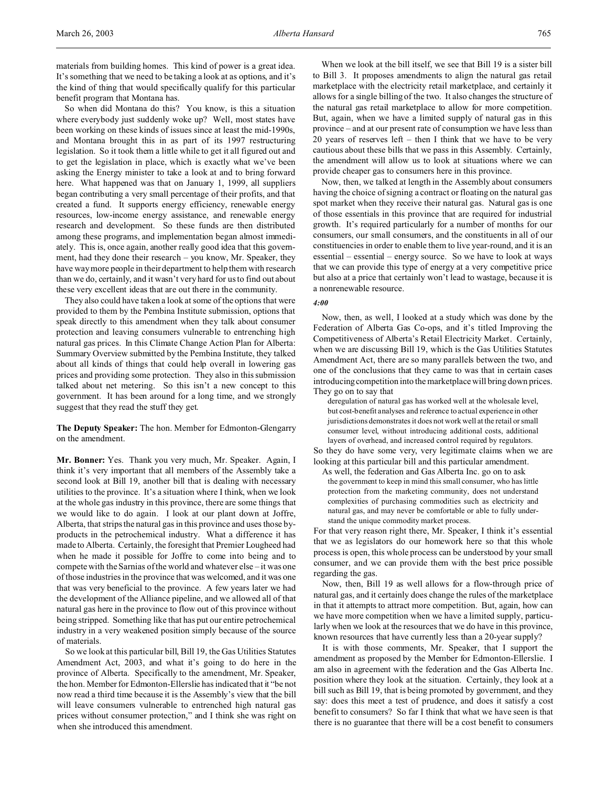So when did Montana do this? You know, is this a situation where everybody just suddenly woke up? Well, most states have been working on these kinds of issues since at least the mid-1990s, and Montana brought this in as part of its 1997 restructuring legislation. So it took them a little while to get it all figured out and to get the legislation in place, which is exactly what we've been asking the Energy minister to take a look at and to bring forward here. What happened was that on January 1, 1999, all suppliers began contributing a very small percentage of their profits, and that created a fund. It supports energy efficiency, renewable energy resources, low-income energy assistance, and renewable energy research and development. So these funds are then distributed among these programs, and implementation began almost immediately. This is, once again, another really good idea that this government, had they done their research – you know, Mr. Speaker, they have way more people in their department to help them with research than we do, certainly, and it wasn't very hard for us to find out about these very excellent ideas that are out there in the community.

They also could have taken a look at some of the options that were provided to them by the Pembina Institute submission, options that speak directly to this amendment when they talk about consumer protection and leaving consumers vulnerable to entrenching high natural gas prices. In this Climate Change Action Plan for Alberta: Summary Overview submitted by the Pembina Institute, they talked about all kinds of things that could help overall in lowering gas prices and providing some protection. They also in this submission talked about net metering. So this isn't a new concept to this government. It has been around for a long time, and we strongly suggest that they read the stuff they get.

**The Deputy Speaker:** The hon. Member for Edmonton-Glengarry on the amendment.

**Mr. Bonner:** Yes. Thank you very much, Mr. Speaker. Again, I think it's very important that all members of the Assembly take a second look at Bill 19, another bill that is dealing with necessary utilities to the province. It's a situation where I think, when we look at the whole gas industry in this province, there are some things that we would like to do again. I look at our plant down at Joffre, Alberta, that strips the natural gas in this province and uses those byproducts in the petrochemical industry. What a difference it has made to Alberta. Certainly, the foresight that Premier Lougheed had when he made it possible for Joffre to come into being and to compete with the Sarnias of the world and whatever else – it was one of those industries in the province that was welcomed, and it was one that was very beneficial to the province. A few years later we had the development of the Alliance pipeline, and we allowed all of that natural gas here in the province to flow out of this province without being stripped. Something like that has put our entire petrochemical industry in a very weakened position simply because of the source of materials.

So we look at this particular bill, Bill 19, the Gas Utilities Statutes Amendment Act, 2003, and what it's going to do here in the province of Alberta. Specifically to the amendment, Mr. Speaker, the hon. Member for Edmonton-Ellerslie has indicated that it "be not now read a third time because it is the Assembly's view that the bill will leave consumers vulnerable to entrenched high natural gas prices without consumer protection," and I think she was right on when she introduced this amendment.

When we look at the bill itself, we see that Bill 19 is a sister bill to Bill 3. It proposes amendments to align the natural gas retail marketplace with the electricity retail marketplace, and certainly it allows for a single billing of the two. It also changes the structure of the natural gas retail marketplace to allow for more competition. But, again, when we have a limited supply of natural gas in this province – and at our present rate of consumption we have less than 20 years of reserves left – then I think that we have to be very cautious about these bills that we pass in this Assembly. Certainly, the amendment will allow us to look at situations where we can provide cheaper gas to consumers here in this province.

Now, then, we talked at length in the Assembly about consumers having the choice of signing a contract or floating on the natural gas spot market when they receive their natural gas. Natural gas is one of those essentials in this province that are required for industrial growth. It's required particularly for a number of months for our consumers, our small consumers, and the constituents in all of our constituencies in order to enable them to live year-round, and it is an essential – essential – energy source. So we have to look at ways that we can provide this type of energy at a very competitive price but also at a price that certainly won't lead to wastage, because it is a nonrenewable resource.

## *4:00*

Now, then, as well, I looked at a study which was done by the Federation of Alberta Gas Co-ops, and it's titled Improving the Competitiveness of Alberta's Retail Electricity Market. Certainly, when we are discussing Bill 19, which is the Gas Utilities Statutes Amendment Act, there are so many parallels between the two, and one of the conclusions that they came to was that in certain cases introducing competition into the marketplace will bring down prices. They go on to say that

deregulation of natural gas has worked well at the wholesale level, but cost-benefit analyses and reference to actual experience in other jurisdictions demonstrates it does not work well at the retail or small consumer level, without introducing additional costs, additional layers of overhead, and increased control required by regulators.

So they do have some very, very legitimate claims when we are looking at this particular bill and this particular amendment.

As well, the federation and Gas Alberta Inc. go on to ask the government to keep in mind this small consumer, who has little protection from the marketing community, does not understand complexities of purchasing commodities such as electricity and natural gas, and may never be comfortable or able to fully understand the unique commodity market process.

For that very reason right there, Mr. Speaker, I think it's essential that we as legislators do our homework here so that this whole process is open, this whole process can be understood by your small consumer, and we can provide them with the best price possible regarding the gas.

Now, then, Bill 19 as well allows for a flow-through price of natural gas, and it certainly does change the rules of the marketplace in that it attempts to attract more competition. But, again, how can we have more competition when we have a limited supply, particularly when we look at the resources that we do have in this province, known resources that have currently less than a 20-year supply?

It is with those comments, Mr. Speaker, that I support the amendment as proposed by the Member for Edmonton-Ellerslie. I am also in agreement with the federation and the Gas Alberta Inc. position where they look at the situation. Certainly, they look at a bill such as Bill 19, that is being promoted by government, and they say: does this meet a test of prudence, and does it satisfy a cost benefit to consumers? So far I think that what we have seen is that there is no guarantee that there will be a cost benefit to consumers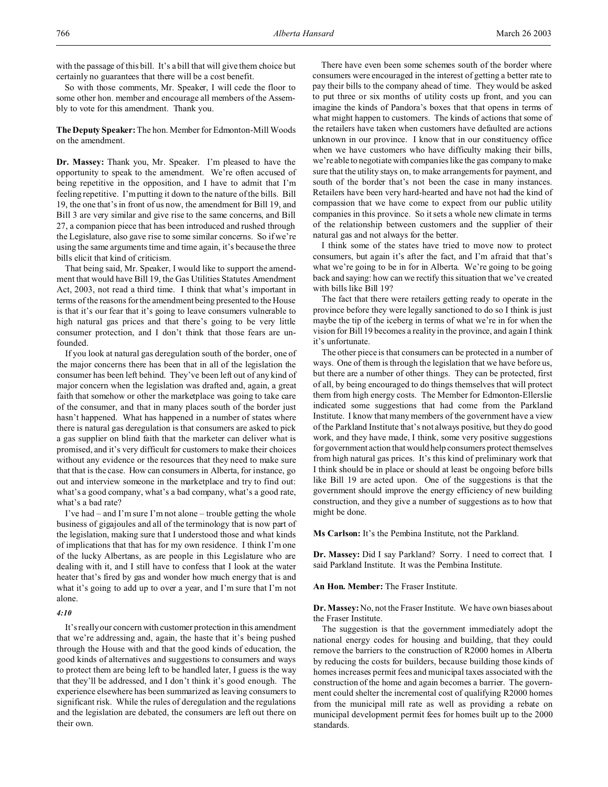with the passage of this bill. It's a bill that will give them choice but certainly no guarantees that there will be a cost benefit.

So with those comments, Mr. Speaker, I will cede the floor to some other hon. member and encourage all members of the Assembly to vote for this amendment. Thank you.

**The Deputy Speaker:** The hon. Member for Edmonton-Mill Woods on the amendment.

**Dr. Massey:** Thank you, Mr. Speaker. I'm pleased to have the opportunity to speak to the amendment. We're often accused of being repetitive in the opposition, and I have to admit that I'm feeling repetitive. I'm putting it down to the nature of the bills. Bill 19, the one that's in front of us now, the amendment for Bill 19, and Bill 3 are very similar and give rise to the same concerns, and Bill 27, a companion piece that has been introduced and rushed through the Legislature, also gave rise to some similar concerns. So if we're using the same arguments time and time again, it's because the three bills elicit that kind of criticism.

That being said, Mr. Speaker, I would like to support the amendment that would have Bill 19, the Gas Utilities Statutes Amendment Act, 2003, not read a third time. I think that what's important in terms of the reasons for the amendment being presented to the House is that it's our fear that it's going to leave consumers vulnerable to high natural gas prices and that there's going to be very little consumer protection, and I don't think that those fears are unfounded.

If you look at natural gas deregulation south of the border, one of the major concerns there has been that in all of the legislation the consumer has been left behind. They've been left out of any kind of major concern when the legislation was drafted and, again, a great faith that somehow or other the marketplace was going to take care of the consumer, and that in many places south of the border just hasn't happened. What has happened in a number of states where there is natural gas deregulation is that consumers are asked to pick a gas supplier on blind faith that the marketer can deliver what is promised, and it's very difficult for customers to make their choices without any evidence or the resources that they need to make sure that that is the case. How can consumers in Alberta, for instance, go out and interview someone in the marketplace and try to find out: what's a good company, what's a bad company, what's a good rate, what's a bad rate?

I've had – and I'm sure I'm not alone – trouble getting the whole business of gigajoules and all of the terminology that is now part of the legislation, making sure that I understood those and what kinds of implications that that has for my own residence. I think I'm one of the lucky Albertans, as are people in this Legislature who are dealing with it, and I still have to confess that I look at the water heater that's fired by gas and wonder how much energy that is and what it's going to add up to over a year, and I'm sure that I'm not alone.

### *4:10*

It's really our concern with customer protection in this amendment that we're addressing and, again, the haste that it's being pushed through the House with and that the good kinds of education, the good kinds of alternatives and suggestions to consumers and ways to protect them are being left to be handled later, I guess is the way that they'll be addressed, and I don't think it's good enough. The experience elsewhere has been summarized as leaving consumers to significant risk. While the rules of deregulation and the regulations and the legislation are debated, the consumers are left out there on their own.

There have even been some schemes south of the border where consumers were encouraged in the interest of getting a better rate to pay their bills to the company ahead of time. They would be asked to put three or six months of utility costs up front, and you can imagine the kinds of Pandora's boxes that that opens in terms of what might happen to customers. The kinds of actions that some of the retailers have taken when customers have defaulted are actions unknown in our province. I know that in our constituency office when we have customers who have difficulty making their bills, we're able to negotiate with companies like the gas company to make sure that the utility stays on, to make arrangements for payment, and south of the border that's not been the case in many instances. Retailers have been very hard-hearted and have not had the kind of compassion that we have come to expect from our public utility companies in this province. So it sets a whole new climate in terms of the relationship between customers and the supplier of their natural gas and not always for the better.

I think some of the states have tried to move now to protect consumers, but again it's after the fact, and I'm afraid that that's what we're going to be in for in Alberta. We're going to be going back and saying: how can we rectify this situation that we've created with bills like Bill 19?

The fact that there were retailers getting ready to operate in the province before they were legally sanctioned to do so I think is just maybe the tip of the iceberg in terms of what we're in for when the vision for Bill 19 becomes a reality in the province, and again I think it's unfortunate.

The other piece is that consumers can be protected in a number of ways. One of them is through the legislation that we have before us, but there are a number of other things. They can be protected, first of all, by being encouraged to do things themselves that will protect them from high energy costs. The Member for Edmonton-Ellerslie indicated some suggestions that had come from the Parkland Institute. I know that many members of the government have a view of the Parkland Institute that's not always positive, but they do good work, and they have made, I think, some very positive suggestions for government action that would help consumers protect themselves from high natural gas prices. It's this kind of preliminary work that I think should be in place or should at least be ongoing before bills like Bill 19 are acted upon. One of the suggestions is that the government should improve the energy efficiency of new building construction, and they give a number of suggestions as to how that might be done.

**Ms Carlson:** It's the Pembina Institute, not the Parkland.

**Dr. Massey:** Did I say Parkland? Sorry. I need to correct that. I said Parkland Institute. It was the Pembina Institute.

**An Hon. Member:** The Fraser Institute.

**Dr. Massey:** No, not the Fraser Institute. We have own biases about the Fraser Institute.

The suggestion is that the government immediately adopt the national energy codes for housing and building, that they could remove the barriers to the construction of R2000 homes in Alberta by reducing the costs for builders, because building those kinds of homes increases permit fees and municipal taxes associated with the construction of the home and again becomes a barrier. The government could shelter the incremental cost of qualifying R2000 homes from the municipal mill rate as well as providing a rebate on municipal development permit fees for homes built up to the 2000 standards.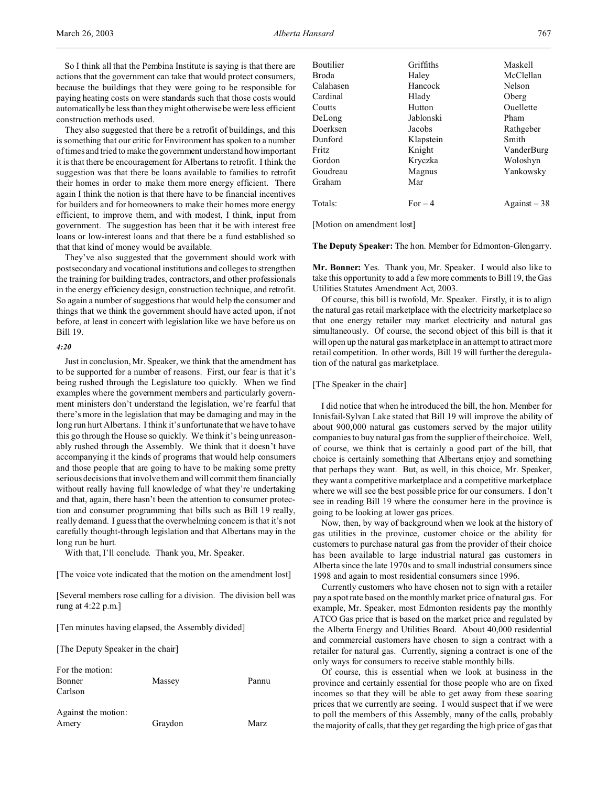So I think all that the Pembina Institute is saying is that there are actions that the government can take that would protect consumers, because the buildings that they were going to be responsible for paying heating costs on were standards such that those costs would automatically be less than they might otherwise be were less efficient construction methods used.

They also suggested that there be a retrofit of buildings, and this is something that our critic for Environment has spoken to a number of times and tried to make the government understand how important it is that there be encouragement for Albertans to retrofit. I think the suggestion was that there be loans available to families to retrofit their homes in order to make them more energy efficient. There again I think the notion is that there have to be financial incentives for builders and for homeowners to make their homes more energy efficient, to improve them, and with modest, I think, input from government. The suggestion has been that it be with interest free loans or low-interest loans and that there be a fund established so that that kind of money would be available.

They've also suggested that the government should work with postsecondary and vocational institutions and colleges to strengthen the training for building trades, contractors, and other professionals in the energy efficiency design, construction technique, and retrofit. So again a number of suggestions that would help the consumer and things that we think the government should have acted upon, if not before, at least in concert with legislation like we have before us on Bill 19.

## *4:20*

Just in conclusion, Mr. Speaker, we think that the amendment has to be supported for a number of reasons. First, our fear is that it's being rushed through the Legislature too quickly. When we find examples where the government members and particularly government ministers don't understand the legislation, we're fearful that there's more in the legislation that may be damaging and may in the long run hurt Albertans. I think it's unfortunate that we have to have this go through the House so quickly. We think it's being unreasonably rushed through the Assembly. We think that it doesn't have accompanying it the kinds of programs that would help consumers and those people that are going to have to be making some pretty serious decisions that involve them and will commit them financially without really having full knowledge of what they're undertaking and that, again, there hasn't been the attention to consumer protection and consumer programming that bills such as Bill 19 really, really demand. I guess that the overwhelming concern is that it's not carefully thought-through legislation and that Albertans may in the long run be hurt.

With that, I'll conclude. Thank you, Mr. Speaker.

[The voice vote indicated that the motion on the amendment lost]

[Several members rose calling for a division. The division bell was rung at 4:22 p.m.]

[Ten minutes having elapsed, the Assembly divided]

[The Deputy Speaker in the chair]

| For the motion:     |         |       |
|---------------------|---------|-------|
| Bonner              | Massey  | Pannu |
| Carlson             |         |       |
| Against the motion: |         |       |
| Amery               | Graydon | Marz  |

| Boutilier | Griffiths | Maskell       |
|-----------|-----------|---------------|
| Broda     | Haley     | McClellan     |
| Calahasen | Hancock   | Nelson        |
| Cardinal  | Hlady     | Oberg         |
| Coutts    | Hutton    | Ouellette     |
| DeLong    | Jablonski | Pham          |
| Doerksen  | Jacobs    | Rathgeber     |
| Dunford   | Klapstein | Smith         |
| Fritz     | Knight    | VanderBurg    |
| Gordon    | Kryczka   | Woloshyn      |
| Goudreau  | Magnus    | Yankowsky     |
| Graham    | Mar       |               |
| Totals:   | $For-4$   | Against $-38$ |
|           |           |               |

[Motion on amendment lost]

**The Deputy Speaker:** The hon. Member for Edmonton-Glengarry.

**Mr. Bonner:** Yes. Thank you, Mr. Speaker. I would also like to take this opportunity to add a few more comments to Bill 19, the Gas Utilities Statutes Amendment Act, 2003.

Of course, this bill is twofold, Mr. Speaker. Firstly, it is to align the natural gas retail marketplace with the electricity marketplace so that one energy retailer may market electricity and natural gas simultaneously. Of course, the second object of this bill is that it will open up the natural gas marketplace in an attempt to attract more retail competition. In other words, Bill 19 will further the deregulation of the natural gas marketplace.

#### [The Speaker in the chair]

I did notice that when he introduced the bill, the hon. Member for Innisfail-Sylvan Lake stated that Bill 19 will improve the ability of about 900,000 natural gas customers served by the major utility companies to buy natural gas from the supplier of their choice. Well, of course, we think that is certainly a good part of the bill, that choice is certainly something that Albertans enjoy and something that perhaps they want. But, as well, in this choice, Mr. Speaker, they want a competitive marketplace and a competitive marketplace where we will see the best possible price for our consumers. I don't see in reading Bill 19 where the consumer here in the province is going to be looking at lower gas prices.

Now, then, by way of background when we look at the history of gas utilities in the province, customer choice or the ability for customers to purchase natural gas from the provider of their choice has been available to large industrial natural gas customers in Alberta since the late 1970s and to small industrial consumers since 1998 and again to most residential consumers since 1996.

Currently customers who have chosen not to sign with a retailer pay a spot rate based on the monthly market price of natural gas. For example, Mr. Speaker, most Edmonton residents pay the monthly ATCO Gas price that is based on the market price and regulated by the Alberta Energy and Utilities Board. About 40,000 residential and commercial customers have chosen to sign a contract with a retailer for natural gas. Currently, signing a contract is one of the only ways for consumers to receive stable monthly bills.

Of course, this is essential when we look at business in the province and certainly essential for those people who are on fixed incomes so that they will be able to get away from these soaring prices that we currently are seeing. I would suspect that if we were to poll the members of this Assembly, many of the calls, probably the majority of calls, that they get regarding the high price of gas that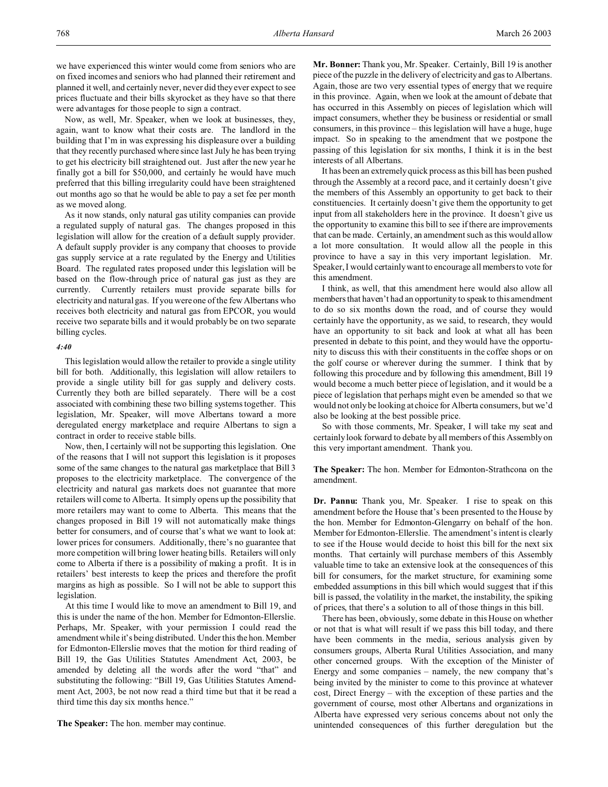we have experienced this winter would come from seniors who are on fixed incomes and seniors who had planned their retirement and planned it well, and certainly never, never did they ever expect to see prices fluctuate and their bills skyrocket as they have so that there were advantages for those people to sign a contract.

Now, as well, Mr. Speaker, when we look at businesses, they, again, want to know what their costs are. The landlord in the building that I'm in was expressing his displeasure over a building that they recently purchased where since last July he has been trying to get his electricity bill straightened out. Just after the new year he finally got a bill for \$50,000, and certainly he would have much preferred that this billing irregularity could have been straightened out months ago so that he would be able to pay a set fee per month as we moved along.

As it now stands, only natural gas utility companies can provide a regulated supply of natural gas. The changes proposed in this legislation will allow for the creation of a default supply provider. A default supply provider is any company that chooses to provide gas supply service at a rate regulated by the Energy and Utilities Board. The regulated rates proposed under this legislation will be based on the flow-through price of natural gas just as they are currently. Currently retailers must provide separate bills for electricity and natural gas. If you were one of the few Albertans who receives both electricity and natural gas from EPCOR, you would receive two separate bills and it would probably be on two separate billing cycles.

### *4:40*

This legislation would allow the retailer to provide a single utility bill for both. Additionally, this legislation will allow retailers to provide a single utility bill for gas supply and delivery costs. Currently they both are billed separately. There will be a cost associated with combining these two billing systems together. This legislation, Mr. Speaker, will move Albertans toward a more deregulated energy marketplace and require Albertans to sign a contract in order to receive stable bills.

Now, then, I certainly will not be supporting this legislation. One of the reasons that I will not support this legislation is it proposes some of the same changes to the natural gas marketplace that Bill 3 proposes to the electricity marketplace. The convergence of the electricity and natural gas markets does not guarantee that more retailers will come to Alberta. It simply opens up the possibility that more retailers may want to come to Alberta. This means that the changes proposed in Bill 19 will not automatically make things better for consumers, and of course that's what we want to look at: lower prices for consumers. Additionally, there's no guarantee that more competition will bring lower heating bills. Retailers will only come to Alberta if there is a possibility of making a profit. It is in retailers' best interests to keep the prices and therefore the profit margins as high as possible. So I will not be able to support this legislation.

At this time I would like to move an amendment to Bill 19, and this is under the name of the hon. Member for Edmonton-Ellerslie. Perhaps, Mr. Speaker, with your permission I could read the amendment while it's being distributed. Under this the hon. Member for Edmonton-Ellerslie moves that the motion for third reading of Bill 19, the Gas Utilities Statutes Amendment Act, 2003, be amended by deleting all the words after the word "that" and substituting the following: "Bill 19, Gas Utilities Statutes Amendment Act, 2003, be not now read a third time but that it be read a third time this day six months hence."

**The Speaker:** The hon. member may continue.

**Mr. Bonner:** Thank you, Mr. Speaker. Certainly, Bill 19 is another piece of the puzzle in the delivery of electricity and gas to Albertans. Again, those are two very essential types of energy that we require in this province. Again, when we look at the amount of debate that has occurred in this Assembly on pieces of legislation which will impact consumers, whether they be business or residential or small consumers, in this province – this legislation will have a huge, huge impact. So in speaking to the amendment that we postpone the passing of this legislation for six months, I think it is in the best interests of all Albertans.

It has been an extremely quick process as this bill has been pushed through the Assembly at a record pace, and it certainly doesn't give the members of this Assembly an opportunity to get back to their constituencies. It certainly doesn't give them the opportunity to get input from all stakeholders here in the province. It doesn't give us the opportunity to examine this bill to see if there are improvements that can be made. Certainly, an amendment such as this would allow a lot more consultation. It would allow all the people in this province to have a say in this very important legislation. Mr. Speaker, I would certainly want to encourage all members to vote for this amendment.

I think, as well, that this amendment here would also allow all members that haven't had an opportunity to speak to this amendment to do so six months down the road, and of course they would certainly have the opportunity, as we said, to research, they would have an opportunity to sit back and look at what all has been presented in debate to this point, and they would have the opportunity to discuss this with their constituents in the coffee shops or on the golf course or wherever during the summer. I think that by following this procedure and by following this amendment, Bill 19 would become a much better piece of legislation, and it would be a piece of legislation that perhaps might even be amended so that we would not only be looking at choice for Alberta consumers, but we'd also be looking at the best possible price.

So with those comments, Mr. Speaker, I will take my seat and certainly look forward to debate by all members of this Assembly on this very important amendment. Thank you.

**The Speaker:** The hon. Member for Edmonton-Strathcona on the amendment.

**Dr. Pannu:** Thank you, Mr. Speaker. I rise to speak on this amendment before the House that's been presented to the House by the hon. Member for Edmonton-Glengarry on behalf of the hon. Member for Edmonton-Ellerslie. The amendment's intent is clearly to see if the House would decide to hoist this bill for the next six months. That certainly will purchase members of this Assembly valuable time to take an extensive look at the consequences of this bill for consumers, for the market structure, for examining some embedded assumptions in this bill which would suggest that if this bill is passed, the volatility in the market, the instability, the spiking of prices, that there's a solution to all of those things in this bill.

There has been, obviously, some debate in this House on whether or not that is what will result if we pass this bill today, and there have been comments in the media, serious analysis given by consumers groups, Alberta Rural Utilities Association, and many other concerned groups. With the exception of the Minister of Energy and some companies – namely, the new company that's being invited by the minister to come to this province at whatever cost, Direct Energy – with the exception of these parties and the government of course, most other Albertans and organizations in Alberta have expressed very serious concerns about not only the unintended consequences of this further deregulation but the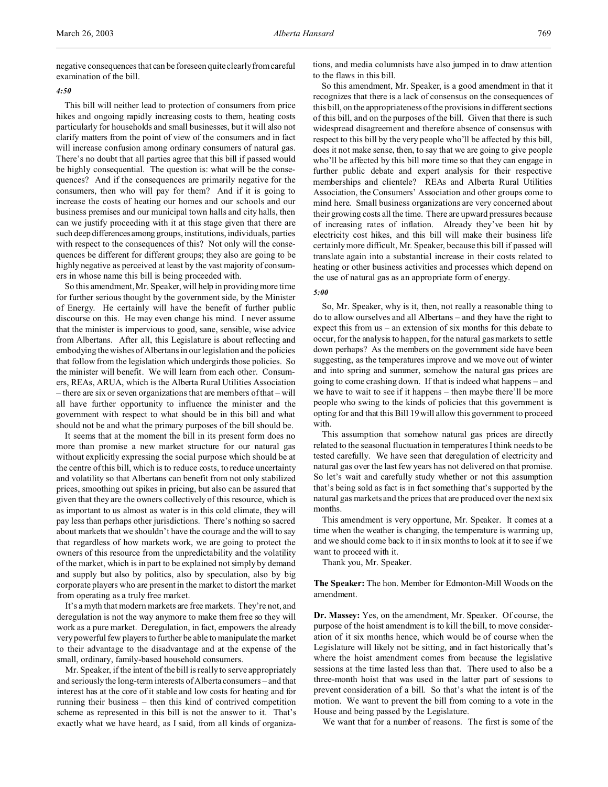negative consequences that can be foreseen quite clearly from careful examination of the bill.

## *4:50*

This bill will neither lead to protection of consumers from price hikes and ongoing rapidly increasing costs to them, heating costs particularly for households and small businesses, but it will also not clarify matters from the point of view of the consumers and in fact will increase confusion among ordinary consumers of natural gas. There's no doubt that all parties agree that this bill if passed would be highly consequential. The question is: what will be the consequences? And if the consequences are primarily negative for the consumers, then who will pay for them? And if it is going to increase the costs of heating our homes and our schools and our business premises and our municipal town halls and city halls, then can we justify proceeding with it at this stage given that there are such deep differencesamong groups, institutions, individuals, parties with respect to the consequences of this? Not only will the consequences be different for different groups; they also are going to be highly negative as perceived at least by the vast majority of consumers in whose name this bill is being proceeded with.

So this amendment, Mr. Speaker, will help in providing more time for further serious thought by the government side, by the Minister of Energy. He certainly will have the benefit of further public discourse on this. He may even change his mind. I never assume that the minister is impervious to good, sane, sensible, wise advice from Albertans. After all, this Legislature is about reflecting and embodying the wishes of Albertans in our legislation and the policies that follow from the legislation which undergirds those policies. So the minister will benefit. We will learn from each other. Consumers, REAs, ARUA, which is the Alberta Rural Utilities Association – there are six or seven organizations that are members of that – will all have further opportunity to influence the minister and the government with respect to what should be in this bill and what should not be and what the primary purposes of the bill should be.

It seems that at the moment the bill in its present form does no more than promise a new market structure for our natural gas without explicitly expressing the social purpose which should be at the centre of this bill, which is to reduce costs, to reduce uncertainty and volatility so that Albertans can benefit from not only stabilized prices, smoothing out spikes in pricing, but also can be assured that given that they are the owners collectively of this resource, which is as important to us almost as water is in this cold climate, they will pay less than perhaps other jurisdictions. There's nothing so sacred about markets that we shouldn't have the courage and the will to say that regardless of how markets work, we are going to protect the owners of this resource from the unpredictability and the volatility of the market, which is in part to be explained not simply by demand and supply but also by politics, also by speculation, also by big corporate players who are present in the market to distort the market from operating as a truly free market.

It's a myth that modern markets are free markets. They're not, and deregulation is not the way anymore to make them free so they will work as a pure market. Deregulation, in fact, empowers the already very powerful few players to further be able to manipulate the market to their advantage to the disadvantage and at the expense of the small, ordinary, family-based household consumers.

Mr. Speaker, if the intent of the bill is really to serve appropriately and seriously the long-term interests of Alberta consumers – and that interest has at the core of it stable and low costs for heating and for running their business – then this kind of contrived competition scheme as represented in this bill is not the answer to it. That's exactly what we have heard, as I said, from all kinds of organizations, and media columnists have also jumped in to draw attention to the flaws in this bill.

So this amendment, Mr. Speaker, is a good amendment in that it recognizes that there is a lack of consensus on the consequences of this bill, on the appropriateness of the provisions in different sections of this bill, and on the purposes of the bill. Given that there is such widespread disagreement and therefore absence of consensus with respect to this bill by the very people who'll be affected by this bill, does it not make sense, then, to say that we are going to give people who'll be affected by this bill more time so that they can engage in further public debate and expert analysis for their respective memberships and clientele? REAs and Alberta Rural Utilities Association, the Consumers' Association and other groups come to mind here. Small business organizations are very concerned about their growing costs all the time. There are upward pressures because of increasing rates of inflation. Already they've been hit by electricity cost hikes, and this bill will make their business life certainly more difficult, Mr. Speaker, because this bill if passed will translate again into a substantial increase in their costs related to heating or other business activities and processes which depend on the use of natural gas as an appropriate form of energy.

#### *5:00*

So, Mr. Speaker, why is it, then, not really a reasonable thing to do to allow ourselves and all Albertans – and they have the right to expect this from us – an extension of six months for this debate to occur, for the analysis to happen, for the natural gas markets to settle down perhaps? As the members on the government side have been suggesting, as the temperatures improve and we move out of winter and into spring and summer, somehow the natural gas prices are going to come crashing down. If that is indeed what happens – and we have to wait to see if it happens – then maybe there'll be more people who swing to the kinds of policies that this government is opting for and that this Bill 19 will allow this government to proceed with.

This assumption that somehow natural gas prices are directly related to the seasonal fluctuation in temperatures I think needs to be tested carefully. We have seen that deregulation of electricity and natural gas over the last few years has not delivered on that promise. So let's wait and carefully study whether or not this assumption that's being sold as fact is in fact something that's supported by the natural gas markets and the prices that are produced over the next six months.

This amendment is very opportune, Mr. Speaker. It comes at a time when the weather is changing, the temperature is warming up, and we should come back to it in six months to look at it to see if we want to proceed with it.

Thank you, Mr. Speaker.

**The Speaker:** The hon. Member for Edmonton-Mill Woods on the amendment.

**Dr. Massey:** Yes, on the amendment, Mr. Speaker. Of course, the purpose of the hoist amendment is to kill the bill, to move consideration of it six months hence, which would be of course when the Legislature will likely not be sitting, and in fact historically that's where the hoist amendment comes from because the legislative sessions at the time lasted less than that. There used to also be a three-month hoist that was used in the latter part of sessions to prevent consideration of a bill. So that's what the intent is of the motion. We want to prevent the bill from coming to a vote in the House and being passed by the Legislature.

We want that for a number of reasons. The first is some of the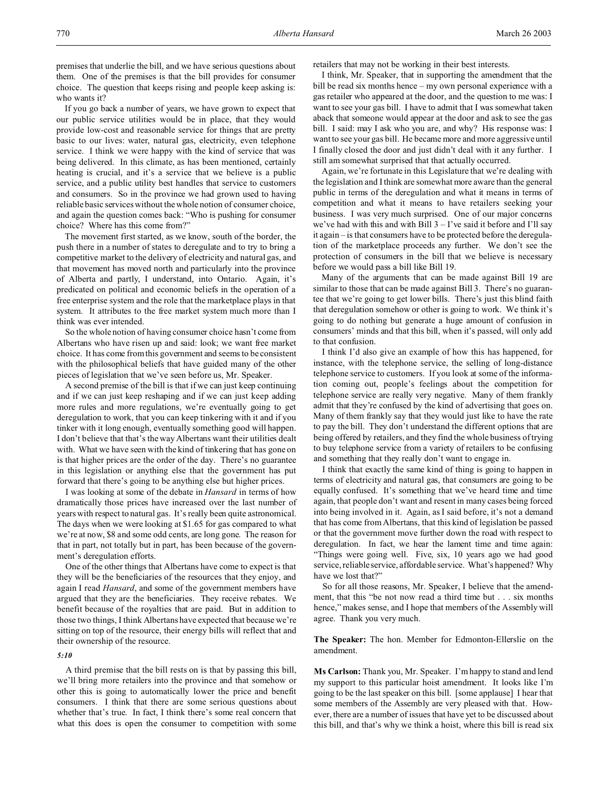premises that underlie the bill, and we have serious questions about them. One of the premises is that the bill provides for consumer choice. The question that keeps rising and people keep asking is: who wants it?

If you go back a number of years, we have grown to expect that our public service utilities would be in place, that they would provide low-cost and reasonable service for things that are pretty basic to our lives: water, natural gas, electricity, even telephone service. I think we were happy with the kind of service that was being delivered. In this climate, as has been mentioned, certainly heating is crucial, and it's a service that we believe is a public service, and a public utility best handles that service to customers and consumers. So in the province we had grown used to having reliable basic services without the whole notion of consumer choice, and again the question comes back: "Who is pushing for consumer choice? Where has this come from?"

The movement first started, as we know, south of the border, the push there in a number of states to deregulate and to try to bring a competitive market to the delivery of electricity and natural gas, and that movement has moved north and particularly into the province of Alberta and partly, I understand, into Ontario. Again, it's predicated on political and economic beliefs in the operation of a free enterprise system and the role that the marketplace plays in that system. It attributes to the free market system much more than I think was ever intended.

So the whole notion of having consumer choice hasn't come from Albertans who have risen up and said: look; we want free market choice. It has come from this government and seems to be consistent with the philosophical beliefs that have guided many of the other pieces of legislation that we've seen before us, Mr. Speaker.

A second premise of the bill is that if we can just keep continuing and if we can just keep reshaping and if we can just keep adding more rules and more regulations, we're eventually going to get deregulation to work, that you can keep tinkering with it and if you tinker with it long enough, eventually something good will happen. I don't believe that that's the way Albertans want their utilities dealt with. What we have seen with the kind of tinkering that has gone on is that higher prices are the order of the day. There's no guarantee in this legislation or anything else that the government has put forward that there's going to be anything else but higher prices.

I was looking at some of the debate in *Hansard* in terms of how dramatically those prices have increased over the last number of years with respect to natural gas. It's really been quite astronomical. The days when we were looking at \$1.65 for gas compared to what we're at now, \$8 and some odd cents, are long gone. The reason for that in part, not totally but in part, has been because of the government's deregulation efforts.

One of the other things that Albertans have come to expect is that they will be the beneficiaries of the resources that they enjoy, and again I read *Hansard*, and some of the government members have argued that they are the beneficiaries. They receive rebates. We benefit because of the royalties that are paid. But in addition to those two things, I think Albertans have expected that because we're sitting on top of the resource, their energy bills will reflect that and their ownership of the resource.

## *5:10*

A third premise that the bill rests on is that by passing this bill, we'll bring more retailers into the province and that somehow or other this is going to automatically lower the price and benefit consumers. I think that there are some serious questions about whether that's true. In fact, I think there's some real concern that what this does is open the consumer to competition with some

retailers that may not be working in their best interests.

I think, Mr. Speaker, that in supporting the amendment that the bill be read six months hence – my own personal experience with a gas retailer who appeared at the door, and the question to me was: I want to see your gas bill. I have to admit that I was somewhat taken aback that someone would appear at the door and ask to see the gas bill. I said: may I ask who you are, and why? His response was: I want to see your gas bill. He became more and more aggressive until I finally closed the door and just didn't deal with it any further. I still am somewhat surprised that that actually occurred.

Again, we're fortunate in this Legislature that we're dealing with the legislation and I think are somewhat more aware than the general public in terms of the deregulation and what it means in terms of competition and what it means to have retailers seeking your business. I was very much surprised. One of our major concerns we've had with this and with Bill  $3 - I'$ ve said it before and I'll say it again – is that consumers have to be protected before the deregulation of the marketplace proceeds any further. We don't see the protection of consumers in the bill that we believe is necessary before we would pass a bill like Bill 19.

Many of the arguments that can be made against Bill 19 are similar to those that can be made against Bill 3. There's no guarantee that we're going to get lower bills. There's just this blind faith that deregulation somehow or other is going to work. We think it's going to do nothing but generate a huge amount of confusion in consumers' minds and that this bill, when it's passed, will only add to that confusion.

I think I'd also give an example of how this has happened, for instance, with the telephone service, the selling of long-distance telephone service to customers. If you look at some of the information coming out, people's feelings about the competition for telephone service are really very negative. Many of them frankly admit that they're confused by the kind of advertising that goes on. Many of them frankly say that they would just like to have the rate to pay the bill. They don't understand the different options that are being offered by retailers, and they find the whole business of trying to buy telephone service from a variety of retailers to be confusing and something that they really don't want to engage in.

I think that exactly the same kind of thing is going to happen in terms of electricity and natural gas, that consumers are going to be equally confused. It's something that we've heard time and time again, that people don't want and resent in many cases being forced into being involved in it. Again, as I said before, it's not a demand that has come from Albertans, that this kind of legislation be passed or that the government move further down the road with respect to deregulation. In fact, we hear the lament time and time again: "Things were going well. Five, six, 10 years ago we had good service, reliable service, affordable service. What's happened? Why have we lost that?"

So for all those reasons, Mr. Speaker, I believe that the amendment, that this "be not now read a third time but . . . six months hence," makes sense, and I hope that members of the Assembly will agree. Thank you very much.

**The Speaker:** The hon. Member for Edmonton-Ellerslie on the amendment.

**Ms Carlson:** Thank you, Mr. Speaker. I'm happy to stand and lend my support to this particular hoist amendment. It looks like I'm going to be the last speaker on this bill. [some applause] I hear that some members of the Assembly are very pleased with that. However, there are a number of issues that have yet to be discussed about this bill, and that's why we think a hoist, where this bill is read six